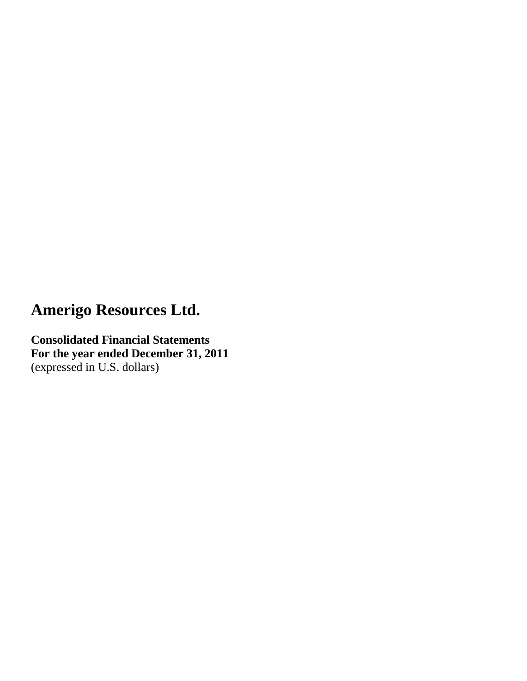**Consolidated Financial Statements For the year ended December 31, 2011** (expressed in U.S. dollars)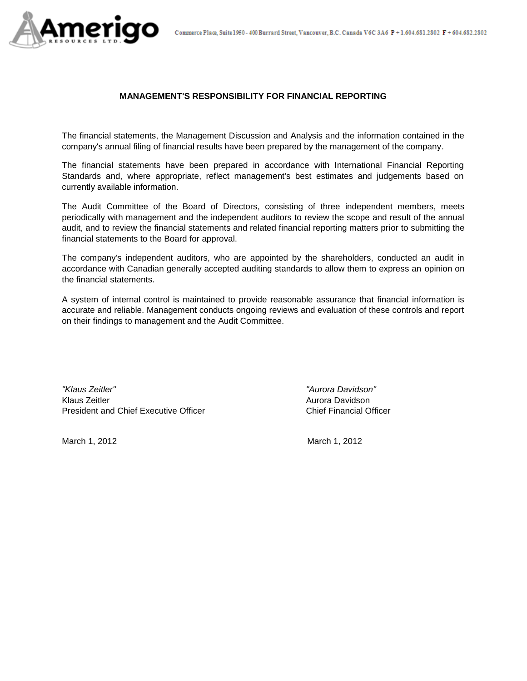

#### **MANAGEMENT'S RESPONSIBILITY FOR FINANCIAL REPORTING**

The financial statements, the Management Discussion and Analysis and the information contained in the company's annual filing of financial results have been prepared by the management of the company.

The financial statements have been prepared in accordance with International Financial Reporting Standards and, where appropriate, reflect management's best estimates and judgements based on currently available information.

The Audit Committee of the Board of Directors, consisting of three independent members, meets periodically with management and the independent auditors to review the scope and result of the annual audit, and to review the financial statements and related financial reporting matters prior to submitting the financial statements to the Board for approval.

The company's independent auditors, who are appointed by the shareholders, conducted an audit in accordance with Canadian generally accepted auditing standards to allow them to express an opinion on the financial statements.

A system of internal control is maintained to provide reasonable assurance that financial information is accurate and reliable. Management conducts ongoing reviews and evaluation of these controls and report on their findings to management and the Audit Committee.

*"Klaus Zeitler" "Aurora Davidson"* Klaus Zeitler **Aurora Davidson** Aurora Davidson President and Chief Executive Officer Chief Financial Officer

March 1, 2012 March 1, 2012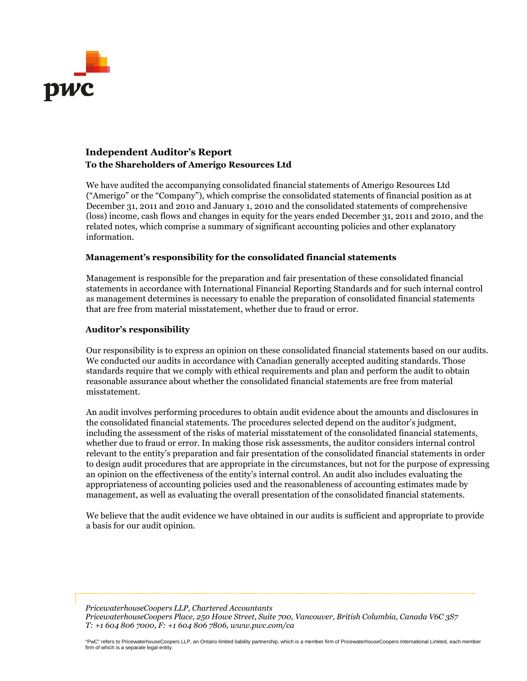

## **Independent Auditor's Report To the Shareholders of Amerigo Resources Ltd**

We have audited the accompanying consolidated financial statements of Amerigo Resources Ltd ("Amerigo" or the "Company"), which comprise the consolidated statements of financial position as at December 31, 2011 and 2010 and January 1, 2010 and the consolidated statements of comprehensive (loss) income, cash flows and changes in equity for the years ended December 31, 2011 and 2010, and the related notes, which comprise a summary of significant accounting policies and other explanatory information.

#### **Management's responsibility for the consolidated financial statements**

Management is responsible for the preparation and fair presentation of these consolidated financial statements in accordance with International Financial Reporting Standards and for such internal control as management determines is necessary to enable the preparation of consolidated financial statements that are free from material misstatement, whether due to fraud or error.

#### **Auditor's responsibility**

Our responsibility is to express an opinion on these consolidated financial statements based on our audits. We conducted our audits in accordance with Canadian generally accepted auditing standards. Those standards require that we comply with ethical requirements and plan and perform the audit to obtain reasonable assurance about whether the consolidated financial statements are free from material misstatement.

An audit involves performing procedures to obtain audit evidence about the amounts and disclosures in the consolidated financial statements. The procedures selected depend on the auditor's judgment, including the assessment of the risks of material misstatement of the consolidated financial statements, whether due to fraud or error. In making those risk assessments, the auditor considers internal control relevant to the entity's preparation and fair presentation of the consolidated financial statements in order to design audit procedures that are appropriate in the circumstances, but not for the purpose of expressing an opinion on the effectiveness of the entity's internal control. An audit also includes evaluating the appropriateness of accounting policies used and the reasonableness of accounting estimates made by management, as well as evaluating the overall presentation of the consolidated financial statements.

We believe that the audit evidence we have obtained in our audits is sufficient and appropriate to provide a basis for our audit opinion.

*PricewaterhouseCoopers LLP, Chartered Accountants PricewaterhouseCoopers Place, 250 Howe Street, Suite 700, Vancouver, British Columbia, Canada V6C 3S7 T: +1 604 806 7000, F: +1 604 806 7806, www.pwc.com/ca*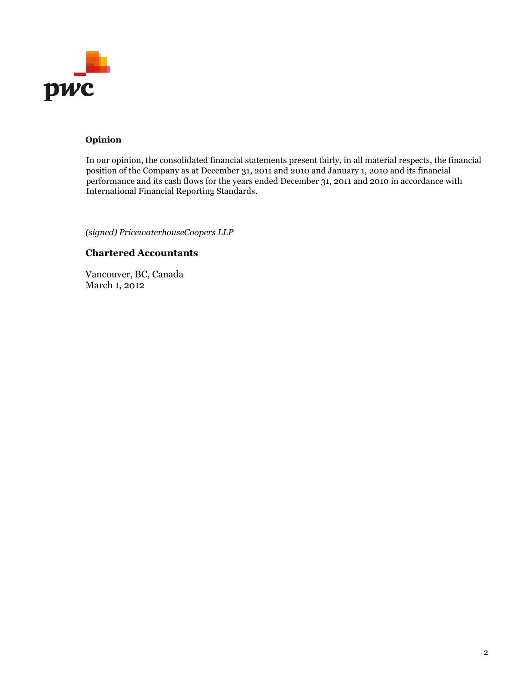

## **Opinion**

In our opinion, the consolidated financial statements present fairly, in all material respects, the financial position of the Company as at December 31, 2011 and 2010 and January 1, 2010 and its financial performance and its cash flows for the years ended December 31, 2011 and 2010 in accordance with International Financial Reporting Standards.

*(signed) PricewaterhouseCoopers LLP*

## **Chartered Accountants**

Vancouver, BC, Canada March 1, 2012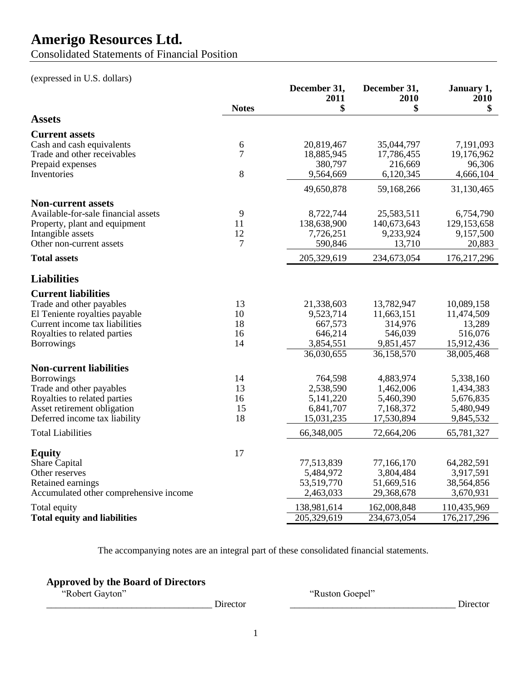Consolidated Statements of Financial Position

(expressed in U.S. dollars)

|                                                                | <b>Notes</b> | December 31,<br>2011<br>\$ | December 31,<br>2010<br>\$ | January 1,<br>2010<br>\$   |
|----------------------------------------------------------------|--------------|----------------------------|----------------------------|----------------------------|
| <b>Assets</b>                                                  |              |                            |                            |                            |
| <b>Current assets</b>                                          |              |                            |                            |                            |
| Cash and cash equivalents                                      | 6            | 20,819,467                 | 35,044,797                 | 7,191,093                  |
| Trade and other receivables<br>Prepaid expenses                | 7            | 18,885,945<br>380,797      | 17,786,455<br>216,669      | 19,176,962<br>96,306       |
| Inventories                                                    | 8            | 9,564,669                  | 6,120,345                  | 4,666,104                  |
|                                                                |              | 49,650,878                 | 59,168,266                 | 31,130,465                 |
| <b>Non-current assets</b>                                      |              |                            |                            |                            |
| Available-for-sale financial assets                            | 9            | 8,722,744                  | 25,583,511                 | 6,754,790                  |
| Property, plant and equipment<br>Intangible assets             | 11<br>12     | 138,638,900<br>7,726,251   | 140,673,643<br>9,233,924   | 129, 153, 658<br>9,157,500 |
| Other non-current assets                                       | 7            | 590,846                    | 13,710                     | 20,883                     |
| <b>Total assets</b>                                            |              | 205,329,619                | 234,673,054                | 176,217,296                |
| <b>Liabilities</b>                                             |              |                            |                            |                            |
| <b>Current liabilities</b>                                     |              |                            |                            |                            |
| Trade and other payables                                       | 13           | 21,338,603                 | 13,782,947                 | 10,089,158                 |
| El Teniente royalties payable                                  | 10           | 9,523,714                  | 11,663,151                 | 11,474,509                 |
| Current income tax liabilities<br>Royalties to related parties | 18<br>16     | 667,573<br>646,214         | 314,976<br>546,039         | 13,289<br>516,076          |
| <b>Borrowings</b>                                              | 14           | 3,854,551                  | 9,851,457                  | 15,912,436                 |
|                                                                |              | 36,030,655                 | 36,158,570                 | 38,005,468                 |
| <b>Non-current liabilities</b>                                 |              |                            |                            |                            |
| <b>Borrowings</b>                                              | 14           | 764,598                    | 4,883,974                  | 5,338,160                  |
| Trade and other payables<br>Royalties to related parties       | 13<br>16     | 2,538,590<br>5,141,220     | 1,462,006<br>5,460,390     | 1,434,383<br>5,676,835     |
| Asset retirement obligation                                    | 15           | 6,841,707                  | 7,168,372                  | 5,480,949                  |
| Deferred income tax liability                                  | 18           | 15,031,235                 | 17,530,894                 | 9,845,532                  |
| <b>Total Liabilities</b>                                       |              | 66,348,005                 | 72,664,206                 | 65,781,327                 |
| <b>Equity</b>                                                  | 17           |                            |                            |                            |
| Share Capital                                                  |              | 77,513,839                 | 77,166,170                 | 64,282,591                 |
| Other reserves                                                 |              | 5,484,972                  | 3,804,484                  | 3,917,591                  |
| Retained earnings                                              |              | 53,519,770                 | 51,669,516                 | 38,564,856                 |
| Accumulated other comprehensive income                         |              | 2,463,033                  | 29,368,678                 | 3,670,931                  |
| Total equity<br><b>Total equity and liabilities</b>            |              | 138,981,614<br>205,329,619 | 162,008,848<br>234,673,054 | 110,435,969<br>176,217,296 |
|                                                                |              |                            |                            |                            |

The accompanying notes are an integral part of these consolidated financial statements.

## **Approved by the Board of Directors**

\_\_\_\_\_\_\_\_\_\_\_\_\_\_\_\_\_\_\_\_\_\_\_\_\_\_\_\_\_\_\_\_\_\_\_ Director \_\_\_\_\_\_\_\_\_\_\_\_\_\_\_\_\_\_\_\_\_\_\_\_\_\_\_\_\_\_\_\_\_\_\_ Director

―Robert Gayton‖ ―Ruston Goepel‖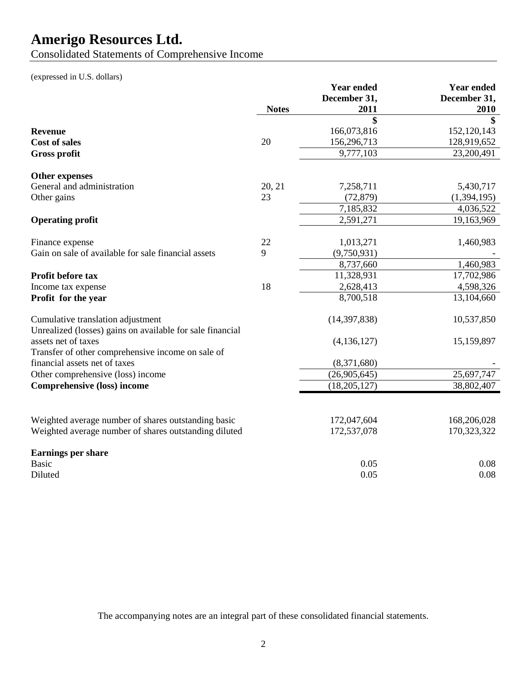Consolidated Statements of Comprehensive Income

(expressed in U.S. dollars)

|                                                           |              | <b>Year ended</b> | <b>Year ended</b> |
|-----------------------------------------------------------|--------------|-------------------|-------------------|
|                                                           |              | December 31,      | December 31,      |
|                                                           | <b>Notes</b> | 2011              | 2010              |
|                                                           |              | \$                | \$                |
| <b>Revenue</b>                                            |              | 166,073,816       | 152,120,143       |
| <b>Cost of sales</b>                                      | 20           | 156,296,713       | 128,919,652       |
| <b>Gross profit</b>                                       |              | 9,777,103         | 23,200,491        |
| Other expenses                                            |              |                   |                   |
| General and administration                                | 20, 21       | 7,258,711         | 5,430,717         |
| Other gains                                               | 23           | (72, 879)         | (1,394,195)       |
|                                                           |              | 7,185,832         | 4,036,522         |
| <b>Operating profit</b>                                   |              | 2,591,271         | 19,163,969        |
| Finance expense                                           | 22           | 1,013,271         | 1,460,983         |
| Gain on sale of available for sale financial assets       | 9            | (9,750,931)       |                   |
|                                                           |              | 8,737,660         | 1,460,983         |
| Profit before tax                                         |              | 11,328,931        | 17,702,986        |
| Income tax expense                                        | 18           | 2,628,413         | 4,598,326         |
| Profit for the year                                       |              | 8,700,518         | 13,104,660        |
|                                                           |              |                   |                   |
| Cumulative translation adjustment                         |              | (14, 397, 838)    | 10,537,850        |
| Unrealized (losses) gains on available for sale financial |              |                   |                   |
| assets net of taxes                                       |              | (4, 136, 127)     | 15,159,897        |
| Transfer of other comprehensive income on sale of         |              |                   |                   |
| financial assets net of taxes                             |              | (8,371,680)       |                   |
| Other comprehensive (loss) income                         |              | (26,905,645)      | 25,697,747        |
| <b>Comprehensive (loss) income</b>                        |              | (18, 205, 127)    | 38,802,407        |
|                                                           |              |                   |                   |
| Weighted average number of shares outstanding basic       |              | 172,047,604       | 168,206,028       |
| Weighted average number of shares outstanding diluted     |              | 172,537,078       | 170,323,322       |
| Earnings per share                                        |              |                   |                   |
| <b>Basic</b>                                              |              | 0.05              | 0.08              |
| Diluted                                                   |              | 0.05              | 0.08              |
|                                                           |              |                   |                   |

The accompanying notes are an integral part of these consolidated financial statements.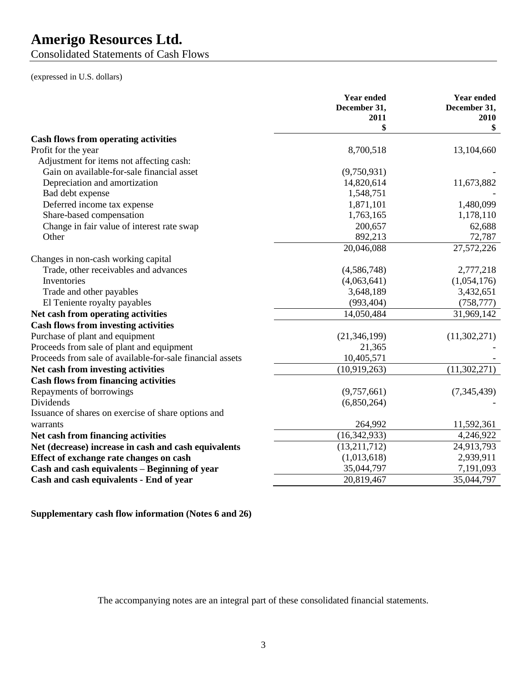Consolidated Statements of Cash Flows

(expressed in U.S. dollars)

|                                                           | <b>Year ended</b><br>December 31,<br>2011 | <b>Year ended</b><br>December 31,<br>2010 |
|-----------------------------------------------------------|-------------------------------------------|-------------------------------------------|
|                                                           | \$                                        | \$                                        |
| <b>Cash flows from operating activities</b>               |                                           |                                           |
| Profit for the year                                       | 8,700,518                                 | 13,104,660                                |
| Adjustment for items not affecting cash:                  |                                           |                                           |
| Gain on available-for-sale financial asset                | (9,750,931)                               |                                           |
| Depreciation and amortization                             | 14,820,614                                | 11,673,882                                |
| Bad debt expense                                          | 1,548,751                                 |                                           |
| Deferred income tax expense                               | 1,871,101                                 | 1,480,099                                 |
| Share-based compensation                                  | 1,763,165                                 | 1,178,110                                 |
| Change in fair value of interest rate swap                | 200,657                                   | 62,688                                    |
| Other                                                     | 892,213                                   | 72,787                                    |
|                                                           | 20,046,088                                | 27,572,226                                |
| Changes in non-cash working capital                       |                                           |                                           |
| Trade, other receivables and advances                     | (4,586,748)                               | 2,777,218                                 |
| Inventories                                               | (4,063,641)                               | (1,054,176)                               |
| Trade and other payables                                  | 3,648,189                                 | 3,432,651                                 |
| El Teniente royalty payables                              | (993, 404)                                | (758, 777)                                |
| Net cash from operating activities                        | 14,050,484                                | 31,969,142                                |
| <b>Cash flows from investing activities</b>               |                                           |                                           |
| Purchase of plant and equipment                           | (21, 346, 199)                            | (11,302,271)                              |
| Proceeds from sale of plant and equipment                 | 21,365                                    |                                           |
| Proceeds from sale of available-for-sale financial assets | 10,405,571                                |                                           |
| Net cash from investing activities                        | (10,919,263)                              | (11,302,271)                              |
| <b>Cash flows from financing activities</b>               |                                           |                                           |
| Repayments of borrowings                                  | (9,757,661)                               | (7,345,439)                               |
| Dividends                                                 | (6,850,264)                               |                                           |
| Issuance of shares on exercise of share options and       |                                           |                                           |
| warrants                                                  | 264,992                                   | 11,592,361                                |
| Net cash from financing activities                        | (16, 342, 933)                            | 4,246,922                                 |
| Net (decrease) increase in cash and cash equivalents      | (13,211,712)                              | 24,913,793                                |
| Effect of exchange rate changes on cash                   | (1,013,618)                               | 2,939,911                                 |
| Cash and cash equivalents - Beginning of year             | 35,044,797                                | 7,191,093                                 |
| Cash and cash equivalents - End of year                   | 20,819,467                                | 35,044,797                                |

**Supplementary cash flow information (Notes 6 and 26)** 

The accompanying notes are an integral part of these consolidated financial statements.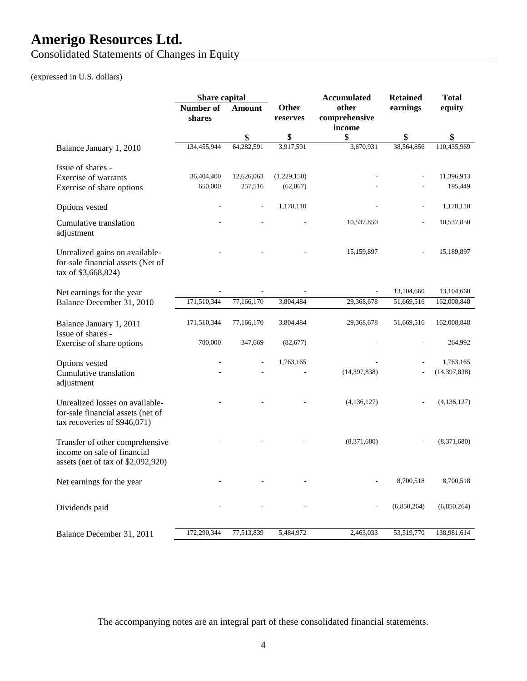Consolidated Statements of Changes in Equity

## (expressed in U.S. dollars)

|                                                                                                      | Share capital       |               |                          | <b>Accumulated</b>               | <b>Retained</b> | <b>Total</b>   |
|------------------------------------------------------------------------------------------------------|---------------------|---------------|--------------------------|----------------------------------|-----------------|----------------|
|                                                                                                      | Number of<br>shares | <b>Amount</b> | <b>Other</b><br>reserves | other<br>comprehensive<br>income | earnings        | equity         |
|                                                                                                      |                     | \$            | \$                       | \$                               | \$              | \$             |
| Balance January 1, 2010                                                                              | 134,455,944         | 64,282,591    | 3,917,591                | 3,670,931                        | 38,564,856      | 110,435,969    |
| Issue of shares -<br>Exercise of warrants                                                            | 36,404,400          | 12,626,063    | (1,229,150)              |                                  |                 | 11,396,913     |
| Exercise of share options                                                                            | 650,000             | 257,516       | (62,067)                 |                                  |                 | 195,449        |
| Options vested                                                                                       |                     |               | 1,178,110                |                                  |                 | 1,178,110      |
| Cumulative translation<br>adjustment                                                                 |                     |               |                          | 10,537,850                       |                 | 10,537,850     |
| Unrealized gains on available-<br>for-sale financial assets (Net of<br>tax of \$3,668,824)           |                     |               |                          | 15,159,897                       |                 | 15,189,897     |
| Net earnings for the year                                                                            |                     |               |                          |                                  | 13,104,660      | 13,104,660     |
| Balance December 31, 2010                                                                            | 171,510,344         | 77,166,170    | 3,804,484                | 29,368,678                       | 51,669,516      | 162,008,848    |
| Balance January 1, 2011<br>Issue of shares -                                                         | 171,510,344         | 77,166,170    | 3,804,484                | 29,368,678                       | 51,669,516      | 162,008,848    |
| Exercise of share options                                                                            | 780,000             | 347,669       | (82,677)                 |                                  |                 | 264,992        |
| Options vested                                                                                       |                     |               | 1,763,165                |                                  |                 | 1,763,165      |
| Cumulative translation<br>adjustment                                                                 |                     |               |                          | (14, 397, 838)                   |                 | (14, 397, 838) |
| Unrealized losses on available-<br>for-sale financial assets (net of<br>tax recoveries of \$946,071) |                     |               |                          | (4, 136, 127)                    |                 | (4, 136, 127)  |
| Transfer of other comprehensive<br>income on sale of financial<br>assets (net of tax of \$2,092,920) |                     |               |                          | (8,371,680)                      |                 | (8,371,680)    |
| Net earnings for the year                                                                            |                     |               |                          |                                  | 8,700,518       | 8,700,518      |
| Dividends paid                                                                                       |                     |               |                          |                                  | (6,850,264)     | (6,850,264)    |
| Balance December 31, 2011                                                                            | 172,290,344         | 77,513,839    | 5,484,972                | 2,463,033                        | 53,519,770      | 138,981,614    |

The accompanying notes are an integral part of these consolidated financial statements.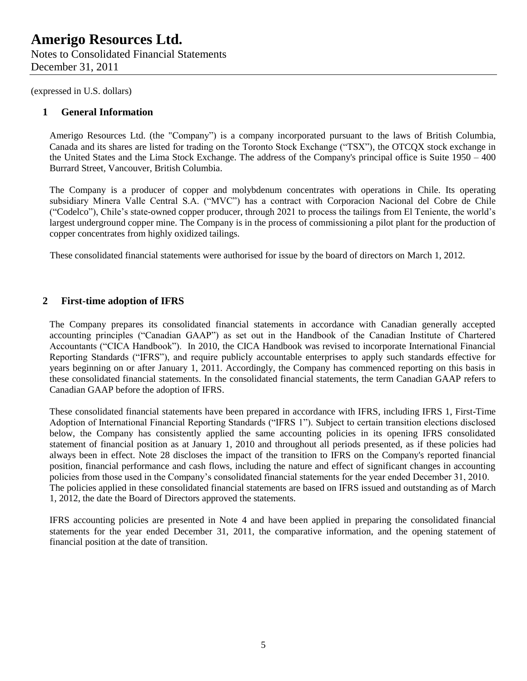Notes to Consolidated Financial Statements December 31, 2011

(expressed in U.S. dollars)

## **1 General Information**

Amerigo Resources Ltd. (the "Company") is a company incorporated pursuant to the laws of British Columbia, Canada and its shares are listed for trading on the Toronto Stock Exchange ("TSX"), the OTCQX stock exchange in the United States and the Lima Stock Exchange. The address of the Company's principal office is Suite 1950 – 400 Burrard Street, Vancouver, British Columbia.

The Company is a producer of copper and molybdenum concentrates with operations in Chile. Its operating subsidiary Minera Valle Central S.A. ("MVC") has a contract with Corporacion Nacional del Cobre de Chile (―Codelco‖), Chile's state-owned copper producer, through 2021 to process the tailings from El Teniente, the world's largest underground copper mine. The Company is in the process of commissioning a pilot plant for the production of copper concentrates from highly oxidized tailings.

These consolidated financial statements were authorised for issue by the board of directors on March 1, 2012.

## **2 First-time adoption of IFRS**

The Company prepares its consolidated financial statements in accordance with Canadian generally accepted accounting principles ("Canadian GAAP") as set out in the Handbook of the Canadian Institute of Chartered Accountants ("CICA Handbook"). In 2010, the CICA Handbook was revised to incorporate International Financial Reporting Standards ("IFRS"), and require publicly accountable enterprises to apply such standards effective for years beginning on or after January 1, 2011. Accordingly, the Company has commenced reporting on this basis in these consolidated financial statements. In the consolidated financial statements, the term Canadian GAAP refers to Canadian GAAP before the adoption of IFRS.

These consolidated financial statements have been prepared in accordance with IFRS, including IFRS 1, First-Time Adoption of International Financial Reporting Standards ("IFRS 1"). Subject to certain transition elections disclosed below, the Company has consistently applied the same accounting policies in its opening IFRS consolidated statement of financial position as at January 1, 2010 and throughout all periods presented, as if these policies had always been in effect. Note 28 discloses the impact of the transition to IFRS on the Company's reported financial position, financial performance and cash flows, including the nature and effect of significant changes in accounting policies from those used in the Company's consolidated financial statements for the year ended December 31, 2010. The policies applied in these consolidated financial statements are based on IFRS issued and outstanding as of March 1, 2012, the date the Board of Directors approved the statements.

IFRS accounting policies are presented in Note 4 and have been applied in preparing the consolidated financial statements for the year ended December 31, 2011, the comparative information, and the opening statement of financial position at the date of transition.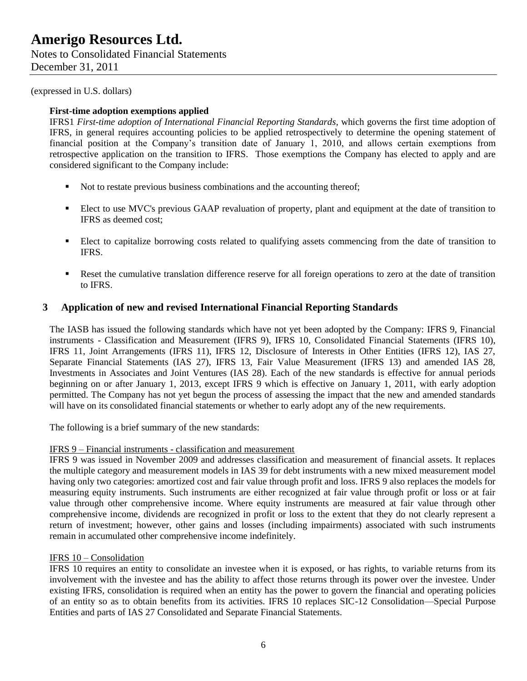Notes to Consolidated Financial Statements December 31, 2011

(expressed in U.S. dollars)

### **First-time adoption exemptions applied**

IFRS1 *First-time adoption of International Financial Reporting Standards*, which governs the first time adoption of IFRS, in general requires accounting policies to be applied retrospectively to determine the opening statement of financial position at the Company's transition date of January 1, 2010, and allows certain exemptions from retrospective application on the transition to IFRS. Those exemptions the Company has elected to apply and are considered significant to the Company include:

- Not to restate previous business combinations and the accounting thereof;
- Elect to use MVC's previous GAAP revaluation of property, plant and equipment at the date of transition to IFRS as deemed cost;
- Elect to capitalize borrowing costs related to qualifying assets commencing from the date of transition to IFRS.
- Reset the cumulative translation difference reserve for all foreign operations to zero at the date of transition to IFRS.

## **3 Application of new and revised International Financial Reporting Standards**

The IASB has issued the following standards which have not yet been adopted by the Company: IFRS 9, Financial instruments - Classification and Measurement (IFRS 9), IFRS 10, Consolidated Financial Statements (IFRS 10), IFRS 11, Joint Arrangements (IFRS 11), IFRS 12, Disclosure of Interests in Other Entities (IFRS 12), IAS 27, Separate Financial Statements (IAS 27), IFRS 13, Fair Value Measurement (IFRS 13) and amended IAS 28, Investments in Associates and Joint Ventures (IAS 28). Each of the new standards is effective for annual periods beginning on or after January 1, 2013, except IFRS 9 which is effective on January 1, 2011, with early adoption permitted. The Company has not yet begun the process of assessing the impact that the new and amended standards will have on its consolidated financial statements or whether to early adopt any of the new requirements.

The following is a brief summary of the new standards:

### IFRS 9 – Financial instruments - classification and measurement

IFRS 9 was issued in November 2009 and addresses classification and measurement of financial assets. It replaces the multiple category and measurement models in IAS 39 for debt instruments with a new mixed measurement model having only two categories: amortized cost and fair value through profit and loss. IFRS 9 also replaces the models for measuring equity instruments. Such instruments are either recognized at fair value through profit or loss or at fair value through other comprehensive income. Where equity instruments are measured at fair value through other comprehensive income, dividends are recognized in profit or loss to the extent that they do not clearly represent a return of investment; however, other gains and losses (including impairments) associated with such instruments remain in accumulated other comprehensive income indefinitely.

### IFRS 10 – Consolidation

IFRS 10 requires an entity to consolidate an investee when it is exposed, or has rights, to variable returns from its involvement with the investee and has the ability to affect those returns through its power over the investee. Under existing IFRS, consolidation is required when an entity has the power to govern the financial and operating policies of an entity so as to obtain benefits from its activities. IFRS 10 replaces SIC-12 Consolidation—Special Purpose Entities and parts of IAS 27 Consolidated and Separate Financial Statements.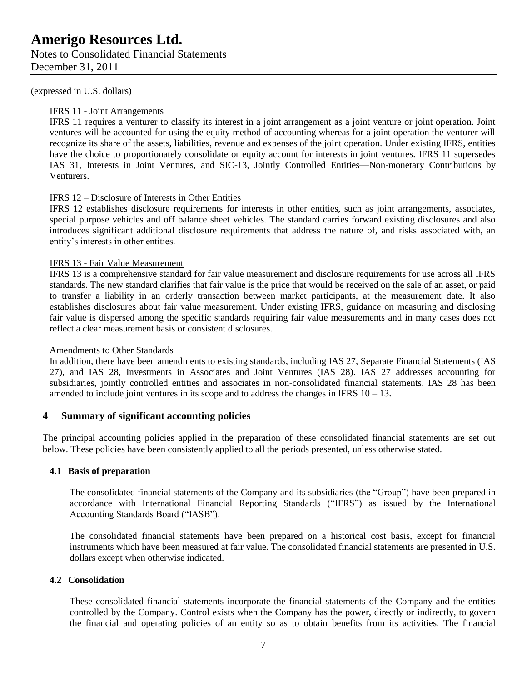Notes to Consolidated Financial Statements December 31, 2011

(expressed in U.S. dollars)

## IFRS 11 - Joint Arrangements

IFRS 11 requires a venturer to classify its interest in a joint arrangement as a joint venture or joint operation. Joint ventures will be accounted for using the equity method of accounting whereas for a joint operation the venturer will recognize its share of the assets, liabilities, revenue and expenses of the joint operation. Under existing IFRS, entities have the choice to proportionately consolidate or equity account for interests in joint ventures. IFRS 11 supersedes IAS 31, Interests in Joint Ventures, and SIC-13, Jointly Controlled Entities—Non-monetary Contributions by Venturers.

## IFRS 12 – Disclosure of Interests in Other Entities

IFRS 12 establishes disclosure requirements for interests in other entities, such as joint arrangements, associates, special purpose vehicles and off balance sheet vehicles. The standard carries forward existing disclosures and also introduces significant additional disclosure requirements that address the nature of, and risks associated with, an entity's interests in other entities.

## IFRS 13 - Fair Value Measurement

IFRS 13 is a comprehensive standard for fair value measurement and disclosure requirements for use across all IFRS standards. The new standard clarifies that fair value is the price that would be received on the sale of an asset, or paid to transfer a liability in an orderly transaction between market participants, at the measurement date. It also establishes disclosures about fair value measurement. Under existing IFRS, guidance on measuring and disclosing fair value is dispersed among the specific standards requiring fair value measurements and in many cases does not reflect a clear measurement basis or consistent disclosures.

### Amendments to Other Standards

In addition, there have been amendments to existing standards, including IAS 27, Separate Financial Statements (IAS 27), and IAS 28, Investments in Associates and Joint Ventures (IAS 28). IAS 27 addresses accounting for subsidiaries, jointly controlled entities and associates in non-consolidated financial statements. IAS 28 has been amended to include joint ventures in its scope and to address the changes in IFRS  $10 - 13$ .

## **4 Summary of significant accounting policies**

The principal accounting policies applied in the preparation of these consolidated financial statements are set out below. These policies have been consistently applied to all the periods presented, unless otherwise stated.

### **4.1 Basis of preparation**

The consolidated financial statements of the Company and its subsidiaries (the "Group") have been prepared in accordance with International Financial Reporting Standards ("IFRS") as issued by the International Accounting Standards Board ("IASB").

The consolidated financial statements have been prepared on a historical cost basis, except for financial instruments which have been measured at fair value. The consolidated financial statements are presented in U.S. dollars except when otherwise indicated.

## **4.2 Consolidation**

These consolidated financial statements incorporate the financial statements of the Company and the entities controlled by the Company. Control exists when the Company has the power, directly or indirectly, to govern the financial and operating policies of an entity so as to obtain benefits from its activities. The financial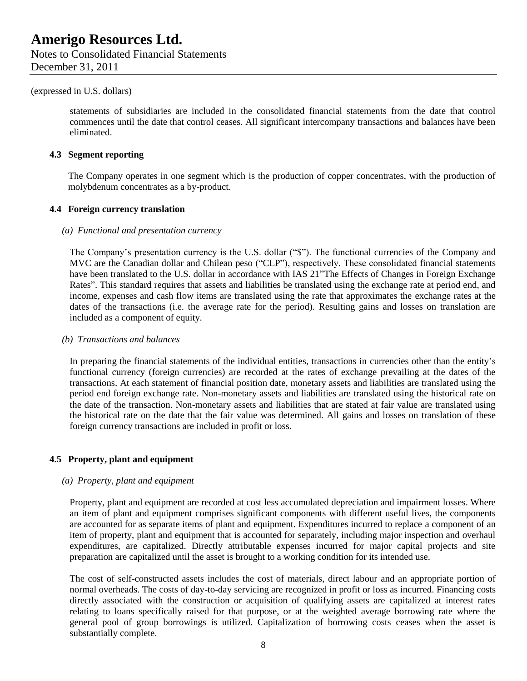#### (expressed in U.S. dollars)

statements of subsidiaries are included in the consolidated financial statements from the date that control commences until the date that control ceases. All significant intercompany transactions and balances have been eliminated.

#### **4.3 Segment reporting**

The Company operates in one segment which is the production of copper concentrates, with the production of molybdenum concentrates as a by-product.

#### **4.4 Foreign currency translation**

#### *(a) Functional and presentation currency*

The Company's presentation currency is the U.S. dollar ("\"\$"). The functional currencies of the Company and MVC are the Canadian dollar and Chilean peso ("CLP"), respectively. These consolidated financial statements have been translated to the U.S. dollar in accordance with IAS 21<sup>9</sup>The Effects of Changes in Foreign Exchange Rates". This standard requires that assets and liabilities be translated using the exchange rate at period end, and income, expenses and cash flow items are translated using the rate that approximates the exchange rates at the dates of the transactions (i.e. the average rate for the period). Resulting gains and losses on translation are included as a component of equity.

#### *(b) Transactions and balances*

In preparing the financial statements of the individual entities, transactions in currencies other than the entity's functional currency (foreign currencies) are recorded at the rates of exchange prevailing at the dates of the transactions. At each statement of financial position date, monetary assets and liabilities are translated using the period end foreign exchange rate. Non-monetary assets and liabilities are translated using the historical rate on the date of the transaction. Non-monetary assets and liabilities that are stated at fair value are translated using the historical rate on the date that the fair value was determined. All gains and losses on translation of these foreign currency transactions are included in profit or loss.

### **4.5 Property, plant and equipment**

#### *(a) Property, plant and equipment*

Property, plant and equipment are recorded at cost less accumulated depreciation and impairment losses. Where an item of plant and equipment comprises significant components with different useful lives, the components are accounted for as separate items of plant and equipment. Expenditures incurred to replace a component of an item of property, plant and equipment that is accounted for separately, including major inspection and overhaul expenditures, are capitalized. Directly attributable expenses incurred for major capital projects and site preparation are capitalized until the asset is brought to a working condition for its intended use.

The cost of self-constructed assets includes the cost of materials, direct labour and an appropriate portion of normal overheads. The costs of day-to-day servicing are recognized in profit or loss as incurred. Financing costs directly associated with the construction or acquisition of qualifying assets are capitalized at interest rates relating to loans specifically raised for that purpose, or at the weighted average borrowing rate where the general pool of group borrowings is utilized. Capitalization of borrowing costs ceases when the asset is substantially complete.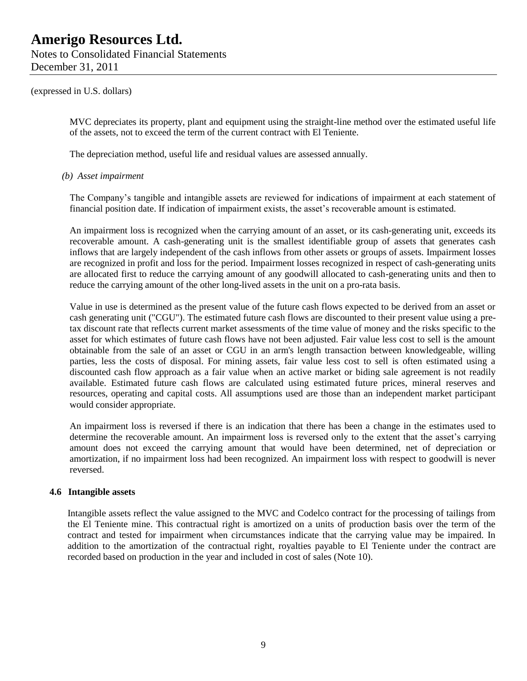Notes to Consolidated Financial Statements December 31, 2011

### (expressed in U.S. dollars)

MVC depreciates its property, plant and equipment using the straight-line method over the estimated useful life of the assets, not to exceed the term of the current contract with El Teniente.

The depreciation method, useful life and residual values are assessed annually.

## *(b) Asset impairment*

The Company's tangible and intangible assets are reviewed for indications of impairment at each statement of financial position date. If indication of impairment exists, the asset's recoverable amount is estimated.

An impairment loss is recognized when the carrying amount of an asset, or its cash-generating unit, exceeds its recoverable amount. A cash-generating unit is the smallest identifiable group of assets that generates cash inflows that are largely independent of the cash inflows from other assets or groups of assets. Impairment losses are recognized in profit and loss for the period. Impairment losses recognized in respect of cash-generating units are allocated first to reduce the carrying amount of any goodwill allocated to cash-generating units and then to reduce the carrying amount of the other long-lived assets in the unit on a pro-rata basis.

Value in use is determined as the present value of the future cash flows expected to be derived from an asset or cash generating unit ("CGU"). The estimated future cash flows are discounted to their present value using a pretax discount rate that reflects current market assessments of the time value of money and the risks specific to the asset for which estimates of future cash flows have not been adjusted. Fair value less cost to sell is the amount obtainable from the sale of an asset or CGU in an arm's length transaction between knowledgeable, willing parties, less the costs of disposal. For mining assets, fair value less cost to sell is often estimated using a discounted cash flow approach as a fair value when an active market or biding sale agreement is not readily available. Estimated future cash flows are calculated using estimated future prices, mineral reserves and resources, operating and capital costs. All assumptions used are those than an independent market participant would consider appropriate.

An impairment loss is reversed if there is an indication that there has been a change in the estimates used to determine the recoverable amount. An impairment loss is reversed only to the extent that the asset's carrying amount does not exceed the carrying amount that would have been determined, net of depreciation or amortization, if no impairment loss had been recognized. An impairment loss with respect to goodwill is never reversed.

### **4.6 Intangible assets**

Intangible assets reflect the value assigned to the MVC and Codelco contract for the processing of tailings from the El Teniente mine. This contractual right is amortized on a units of production basis over the term of the contract and tested for impairment when circumstances indicate that the carrying value may be impaired. In addition to the amortization of the contractual right, royalties payable to El Teniente under the contract are recorded based on production in the year and included in cost of sales (Note 10).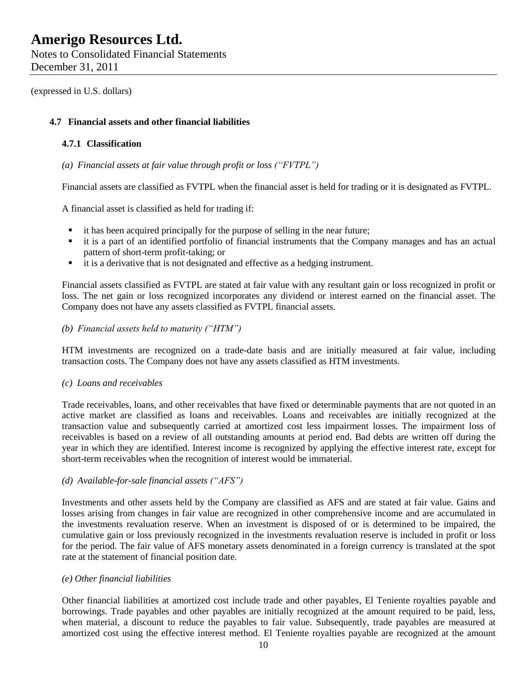Notes to Consolidated Financial Statements December 31, 2011

(expressed in U.S. dollars)

## **4.7 Financial assets and other financial liabilities**

## **4.7.1 Classification**

*(a) Financial assets at fair value through profit or loss ("FVTPL")*

Financial assets are classified as FVTPL when the financial asset is held for trading or it is designated as FVTPL.

A financial asset is classified as held for trading if:

- it has been acquired principally for the purpose of selling in the near future;
- it is a part of an identified portfolio of financial instruments that the Company manages and has an actual pattern of short-term profit-taking; or
- it is a derivative that is not designated and effective as a hedging instrument.

Financial assets classified as FVTPL are stated at fair value with any resultant gain or loss recognized in profit or loss. The net gain or loss recognized incorporates any dividend or interest earned on the financial asset. The Company does not have any assets classified as FVTPL financial assets.

## *(b) Financial assets held to maturity ("HTM")*

HTM investments are recognized on a trade-date basis and are initially measured at fair value, including transaction costs. The Company does not have any assets classified as HTM investments.

### *(c) Loans and receivables*

Trade receivables, loans, and other receivables that have fixed or determinable payments that are not quoted in an active market are classified as loans and receivables. Loans and receivables are initially recognized at the transaction value and subsequently carried at amortized cost less impairment losses. The impairment loss of receivables is based on a review of all outstanding amounts at period end. Bad debts are written off during the year in which they are identified. Interest income is recognized by applying the effective interest rate, except for short-term receivables when the recognition of interest would be immaterial.

### *(d) Available-for-sale financial assets ("AFS")*

Investments and other assets held by the Company are classified as AFS and are stated at fair value. Gains and losses arising from changes in fair value are recognized in other comprehensive income and are accumulated in the investments revaluation reserve. When an investment is disposed of or is determined to be impaired, the cumulative gain or loss previously recognized in the investments revaluation reserve is included in profit or loss for the period. The fair value of AFS monetary assets denominated in a foreign currency is translated at the spot rate at the statement of financial position date.

### *(e) Other financial liabilities*

Other financial liabilities at amortized cost include trade and other payables, El Teniente royalties payable and borrowings. Trade payables and other payables are initially recognized at the amount required to be paid, less, when material, a discount to reduce the payables to fair value. Subsequently, trade payables are measured at amortized cost using the effective interest method. El Teniente royalties payable are recognized at the amount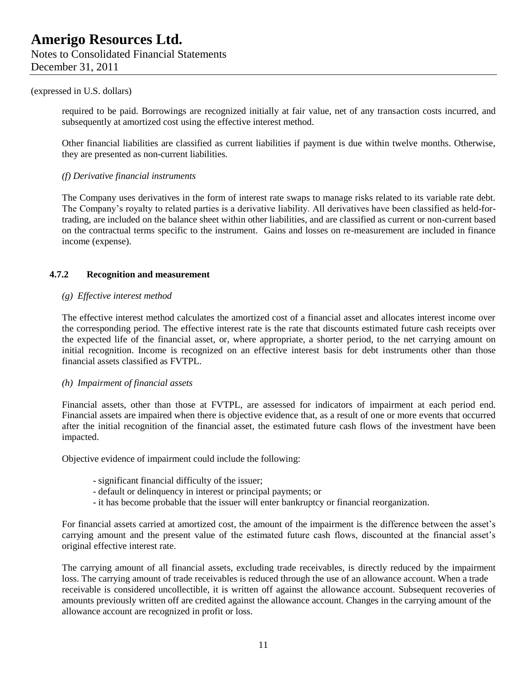Notes to Consolidated Financial Statements December 31, 2011

### (expressed in U.S. dollars)

required to be paid. Borrowings are recognized initially at fair value, net of any transaction costs incurred, and subsequently at amortized cost using the effective interest method.

Other financial liabilities are classified as current liabilities if payment is due within twelve months. Otherwise, they are presented as non-current liabilities.

## *(f) Derivative financial instruments*

The Company uses derivatives in the form of interest rate swaps to manage risks related to its variable rate debt. The Company's royalty to related parties is a derivative liability. All derivatives have been classified as held-fortrading, are included on the balance sheet within other liabilities, and are classified as current or non-current based on the contractual terms specific to the instrument. Gains and losses on re-measurement are included in finance income (expense).

## **4.7.2 Recognition and measurement**

## *(g) Effective interest method*

The effective interest method calculates the amortized cost of a financial asset and allocates interest income over the corresponding period. The effective interest rate is the rate that discounts estimated future cash receipts over the expected life of the financial asset, or, where appropriate, a shorter period, to the net carrying amount on initial recognition. Income is recognized on an effective interest basis for debt instruments other than those financial assets classified as FVTPL.

### *(h) Impairment of financial assets*

Financial assets, other than those at FVTPL, are assessed for indicators of impairment at each period end. Financial assets are impaired when there is objective evidence that, as a result of one or more events that occurred after the initial recognition of the financial asset, the estimated future cash flows of the investment have been impacted.

Objective evidence of impairment could include the following:

- significant financial difficulty of the issuer;
- default or delinquency in interest or principal payments; or
- it has become probable that the issuer will enter bankruptcy or financial reorganization.

For financial assets carried at amortized cost, the amount of the impairment is the difference between the asset's carrying amount and the present value of the estimated future cash flows, discounted at the financial asset's original effective interest rate.

The carrying amount of all financial assets, excluding trade receivables, is directly reduced by the impairment loss. The carrying amount of trade receivables is reduced through the use of an allowance account. When a trade receivable is considered uncollectible, it is written off against the allowance account. Subsequent recoveries of amounts previously written off are credited against the allowance account. Changes in the carrying amount of the allowance account are recognized in profit or loss.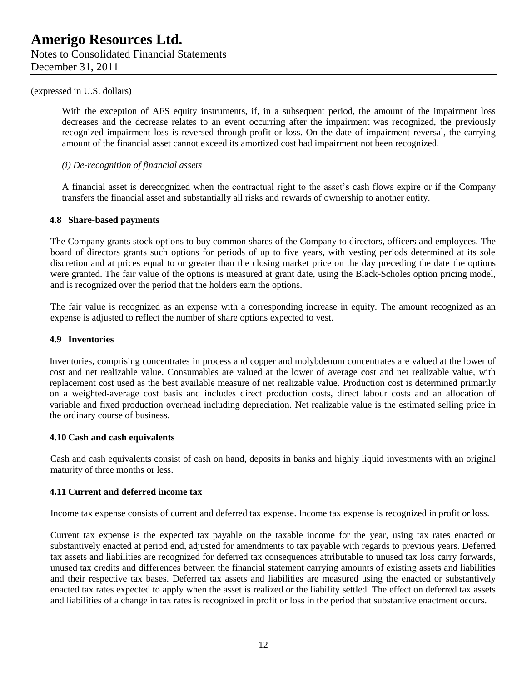### (expressed in U.S. dollars)

With the exception of AFS equity instruments, if, in a subsequent period, the amount of the impairment loss decreases and the decrease relates to an event occurring after the impairment was recognized, the previously recognized impairment loss is reversed through profit or loss. On the date of impairment reversal, the carrying amount of the financial asset cannot exceed its amortized cost had impairment not been recognized.

## *(i) De-recognition of financial assets*

A financial asset is derecognized when the contractual right to the asset's cash flows expire or if the Company transfers the financial asset and substantially all risks and rewards of ownership to another entity.

### **4.8 Share-based payments**

The Company grants stock options to buy common shares of the Company to directors, officers and employees. The board of directors grants such options for periods of up to five years, with vesting periods determined at its sole discretion and at prices equal to or greater than the closing market price on the day preceding the date the options were granted. The fair value of the options is measured at grant date, using the Black-Scholes option pricing model, and is recognized over the period that the holders earn the options.

The fair value is recognized as an expense with a corresponding increase in equity. The amount recognized as an expense is adjusted to reflect the number of share options expected to vest.

### **4.9 Inventories**

Inventories, comprising concentrates in process and copper and molybdenum concentrates are valued at the lower of cost and net realizable value. Consumables are valued at the lower of average cost and net realizable value, with replacement cost used as the best available measure of net realizable value. Production cost is determined primarily on a weighted-average cost basis and includes direct production costs, direct labour costs and an allocation of variable and fixed production overhead including depreciation. Net realizable value is the estimated selling price in the ordinary course of business.

### **4.10 Cash and cash equivalents**

Cash and cash equivalents consist of cash on hand, deposits in banks and highly liquid investments with an original maturity of three months or less.

### **4.11 Current and deferred income tax**

Income tax expense consists of current and deferred tax expense. Income tax expense is recognized in profit or loss.

Current tax expense is the expected tax payable on the taxable income for the year, using tax rates enacted or substantively enacted at period end, adjusted for amendments to tax payable with regards to previous years. Deferred tax assets and liabilities are recognized for deferred tax consequences attributable to unused tax loss carry forwards, unused tax credits and differences between the financial statement carrying amounts of existing assets and liabilities and their respective tax bases. Deferred tax assets and liabilities are measured using the enacted or substantively enacted tax rates expected to apply when the asset is realized or the liability settled. The effect on deferred tax assets and liabilities of a change in tax rates is recognized in profit or loss in the period that substantive enactment occurs.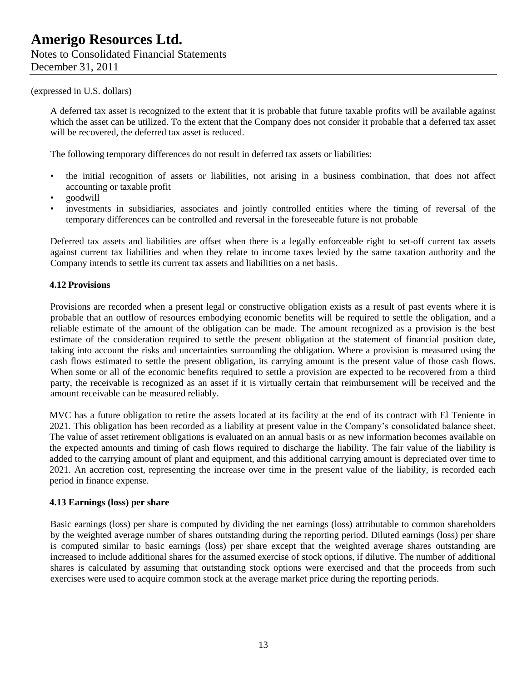Notes to Consolidated Financial Statements December 31, 2011

## (expressed in U.S. dollars)

A deferred tax asset is recognized to the extent that it is probable that future taxable profits will be available against which the asset can be utilized. To the extent that the Company does not consider it probable that a deferred tax asset will be recovered, the deferred tax asset is reduced.

The following temporary differences do not result in deferred tax assets or liabilities:

- the initial recognition of assets or liabilities, not arising in a business combination, that does not affect accounting or taxable profit
- goodwill
- investments in subsidiaries, associates and jointly controlled entities where the timing of reversal of the temporary differences can be controlled and reversal in the foreseeable future is not probable

Deferred tax assets and liabilities are offset when there is a legally enforceable right to set-off current tax assets against current tax liabilities and when they relate to income taxes levied by the same taxation authority and the Company intends to settle its current tax assets and liabilities on a net basis.

## **4.12 Provisions**

Provisions are recorded when a present legal or constructive obligation exists as a result of past events where it is probable that an outflow of resources embodying economic benefits will be required to settle the obligation, and a reliable estimate of the amount of the obligation can be made. The amount recognized as a provision is the best estimate of the consideration required to settle the present obligation at the statement of financial position date, taking into account the risks and uncertainties surrounding the obligation. Where a provision is measured using the cash flows estimated to settle the present obligation, its carrying amount is the present value of those cash flows. When some or all of the economic benefits required to settle a provision are expected to be recovered from a third party, the receivable is recognized as an asset if it is virtually certain that reimbursement will be received and the amount receivable can be measured reliably.

MVC has a future obligation to retire the assets located at its facility at the end of its contract with El Teniente in 2021. This obligation has been recorded as a liability at present value in the Company's consolidated balance sheet. The value of asset retirement obligations is evaluated on an annual basis or as new information becomes available on the expected amounts and timing of cash flows required to discharge the liability. The fair value of the liability is added to the carrying amount of plant and equipment, and this additional carrying amount is depreciated over time to 2021. An accretion cost, representing the increase over time in the present value of the liability, is recorded each period in finance expense.

### **4.13 Earnings (loss) per share**

Basic earnings (loss) per share is computed by dividing the net earnings (loss) attributable to common shareholders by the weighted average number of shares outstanding during the reporting period. Diluted earnings (loss) per share is computed similar to basic earnings (loss) per share except that the weighted average shares outstanding are increased to include additional shares for the assumed exercise of stock options, if dilutive. The number of additional shares is calculated by assuming that outstanding stock options were exercised and that the proceeds from such exercises were used to acquire common stock at the average market price during the reporting periods.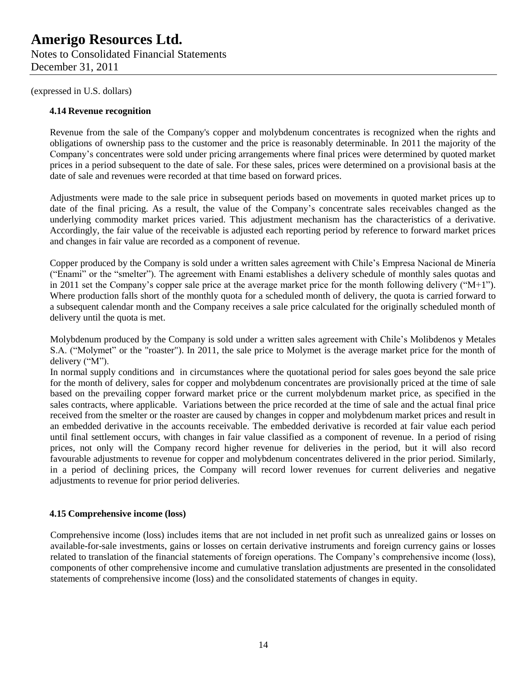Notes to Consolidated Financial Statements December 31, 2011

(expressed in U.S. dollars)

### **4.14 Revenue recognition**

Revenue from the sale of the Company's copper and molybdenum concentrates is recognized when the rights and obligations of ownership pass to the customer and the price is reasonably determinable. In 2011 the majority of the Company's concentrates were sold under pricing arrangements where final prices were determined by quoted market prices in a period subsequent to the date of sale. For these sales, prices were determined on a provisional basis at the date of sale and revenues were recorded at that time based on forward prices.

Adjustments were made to the sale price in subsequent periods based on movements in quoted market prices up to date of the final pricing. As a result, the value of the Company's concentrate sales receivables changed as the underlying commodity market prices varied. This adjustment mechanism has the characteristics of a derivative. Accordingly, the fair value of the receivable is adjusted each reporting period by reference to forward market prices and changes in fair value are recorded as a component of revenue.

Copper produced by the Company is sold under a written sales agreement with Chile's Empresa Nacional de Minería ("Enami" or the "smelter"). The agreement with Enami establishes a delivery schedule of monthly sales quotas and in 2011 set the Company's copper sale price at the average market price for the month following delivery ( $H+1$ ). Where production falls short of the monthly quota for a scheduled month of delivery, the quota is carried forward to a subsequent calendar month and the Company receives a sale price calculated for the originally scheduled month of delivery until the quota is met.

Molybdenum produced by the Company is sold under a written sales agreement with Chile's Molibdenos y Metales S.A. ("Molymet" or the "roaster"). In 2011, the sale price to Molymet is the average market price for the month of delivery  $("M")$ .

In normal supply conditions and in circumstances where the quotational period for sales goes beyond the sale price for the month of delivery, sales for copper and molybdenum concentrates are provisionally priced at the time of sale based on the prevailing copper forward market price or the current molybdenum market price, as specified in the sales contracts, where applicable. Variations between the price recorded at the time of sale and the actual final price received from the smelter or the roaster are caused by changes in copper and molybdenum market prices and result in an embedded derivative in the accounts receivable. The embedded derivative is recorded at fair value each period until final settlement occurs, with changes in fair value classified as a component of revenue. In a period of rising prices, not only will the Company record higher revenue for deliveries in the period, but it will also record favourable adjustments to revenue for copper and molybdenum concentrates delivered in the prior period. Similarly, in a period of declining prices, the Company will record lower revenues for current deliveries and negative adjustments to revenue for prior period deliveries.

### **4.15 Comprehensive income (loss)**

Comprehensive income (loss) includes items that are not included in net profit such as unrealized gains or losses on available-for-sale investments, gains or losses on certain derivative instruments and foreign currency gains or losses related to translation of the financial statements of foreign operations. The Company's comprehensive income (loss), components of other comprehensive income and cumulative translation adjustments are presented in the consolidated statements of comprehensive income (loss) and the consolidated statements of changes in equity.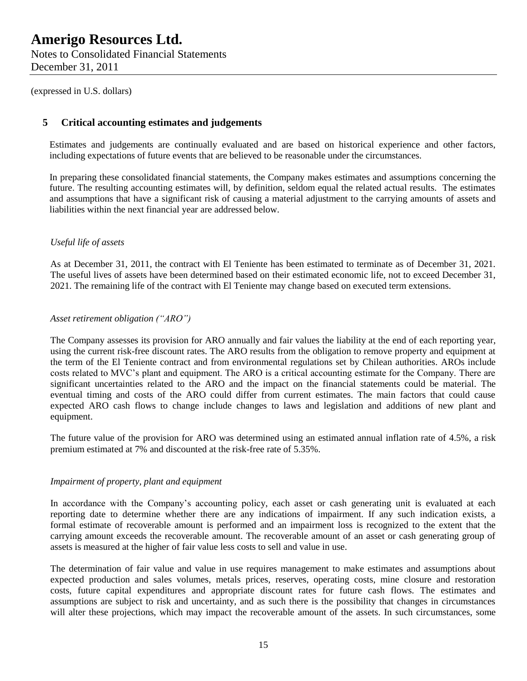Notes to Consolidated Financial Statements December 31, 2011

(expressed in U.S. dollars)

## **5 Critical accounting estimates and judgements**

Estimates and judgements are continually evaluated and are based on historical experience and other factors, including expectations of future events that are believed to be reasonable under the circumstances.

In preparing these consolidated financial statements, the Company makes estimates and assumptions concerning the future. The resulting accounting estimates will, by definition, seldom equal the related actual results. The estimates and assumptions that have a significant risk of causing a material adjustment to the carrying amounts of assets and liabilities within the next financial year are addressed below.

### *Useful life of assets*

As at December 31, 2011, the contract with El Teniente has been estimated to terminate as of December 31, 2021. The useful lives of assets have been determined based on their estimated economic life, not to exceed December 31, 2021. The remaining life of the contract with El Teniente may change based on executed term extensions.

### *Asset retirement obligation ("ARO")*

The Company assesses its provision for ARO annually and fair values the liability at the end of each reporting year, using the current risk-free discount rates. The ARO results from the obligation to remove property and equipment at the term of the El Teniente contract and from environmental regulations set by Chilean authorities. AROs include costs related to MVC's plant and equipment. The ARO is a critical accounting estimate for the Company. There are significant uncertainties related to the ARO and the impact on the financial statements could be material. The eventual timing and costs of the ARO could differ from current estimates. The main factors that could cause expected ARO cash flows to change include changes to laws and legislation and additions of new plant and equipment.

The future value of the provision for ARO was determined using an estimated annual inflation rate of 4.5%, a risk premium estimated at 7% and discounted at the risk-free rate of 5.35%.

### *Impairment of property, plant and equipment*

In accordance with the Company's accounting policy, each asset or cash generating unit is evaluated at each reporting date to determine whether there are any indications of impairment. If any such indication exists, a formal estimate of recoverable amount is performed and an impairment loss is recognized to the extent that the carrying amount exceeds the recoverable amount. The recoverable amount of an asset or cash generating group of assets is measured at the higher of fair value less costs to sell and value in use.

The determination of fair value and value in use requires management to make estimates and assumptions about expected production and sales volumes, metals prices, reserves, operating costs, mine closure and restoration costs, future capital expenditures and appropriate discount rates for future cash flows. The estimates and assumptions are subject to risk and uncertainty, and as such there is the possibility that changes in circumstances will alter these projections, which may impact the recoverable amount of the assets. In such circumstances, some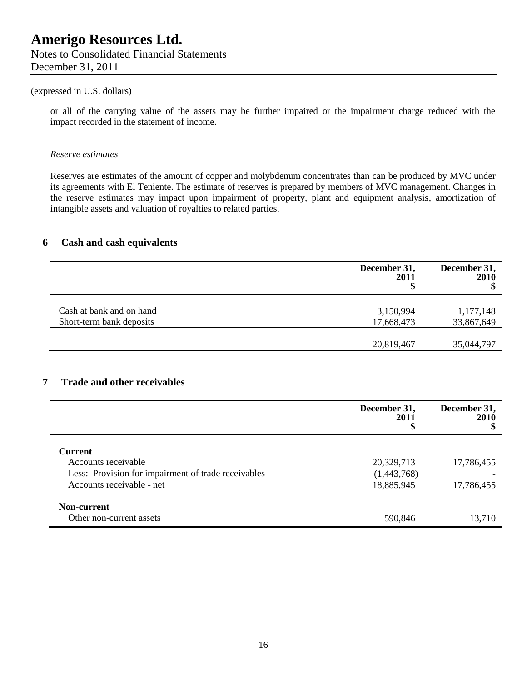Notes to Consolidated Financial Statements December 31, 2011

#### (expressed in U.S. dollars)

or all of the carrying value of the assets may be further impaired or the impairment charge reduced with the impact recorded in the statement of income.

#### *Reserve estimates*

Reserves are estimates of the amount of copper and molybdenum concentrates than can be produced by MVC under its agreements with El Teniente. The estimate of reserves is prepared by members of MVC management. Changes in the reserve estimates may impact upon impairment of property, plant and equipment analysis, amortization of intangible assets and valuation of royalties to related parties.

## **6 Cash and cash equivalents**

|                          | December 31,<br>2011<br>\$ | December 31,<br><b>2010</b><br>Φ |
|--------------------------|----------------------------|----------------------------------|
| Cash at bank and on hand | 3,150,994                  | 1,177,148                        |
| Short-term bank deposits | 17,668,473                 | 33,867,649                       |
|                          | 20,819,467                 | 35,044,797                       |

## **7 Trade and other receivables**

|                                                     | December 31,<br>2011 | December 31,<br>2010<br>\$ |
|-----------------------------------------------------|----------------------|----------------------------|
| <b>Current</b>                                      |                      |                            |
| Accounts receivable                                 | 20,329,713           | 17,786,455                 |
| Less: Provision for impairment of trade receivables | (1,443,768)          |                            |
| Accounts receivable - net                           | 18,885,945           | 17,786,455                 |
| Non-current<br>Other non-current assets             | 590,846              | 13,710                     |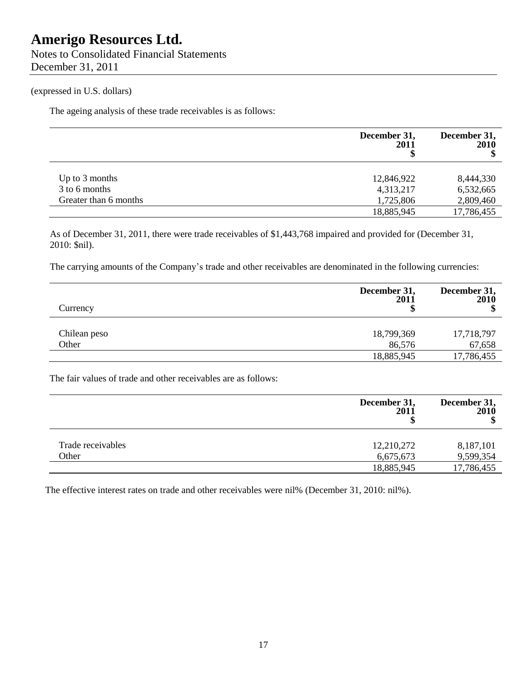Notes to Consolidated Financial Statements December 31, 2011

(expressed in U.S. dollars)

The ageing analysis of these trade receivables is as follows:

|                       | December 31,<br>2011 | December 31,<br>2010 |
|-----------------------|----------------------|----------------------|
| Up to $3$ months      | 12,846,922           | 8,444,330            |
| 3 to 6 months         | 4,313,217            | 6,532,665            |
| Greater than 6 months | 1,725,806            | 2,809,460            |
|                       | 18,885,945           | 17,786,455           |

As of December 31, 2011, there were trade receivables of \$1,443,768 impaired and provided for (December 31, 2010: \$nil).

The carrying amounts of the Company's trade and other receivables are denominated in the following currencies:

| Currency              | December 31,<br>2011 | December 31,<br>2010 |
|-----------------------|----------------------|----------------------|
| Chilean peso<br>Other | 18,799,369<br>86,576 | 17,718,797<br>67,658 |
|                       | 18,885,945           | 17,786,455           |

The fair values of trade and other receivables are as follows:

|                   | December 31,<br>2011 | December 31,<br>2010 |
|-------------------|----------------------|----------------------|
| Trade receivables | 12,210,272           | 8,187,101            |
| Other             | 6,675,673            | 9,599,354            |
|                   | 18,885,945           | 17,786,455           |

The effective interest rates on trade and other receivables were nil% (December 31, 2010: nil%).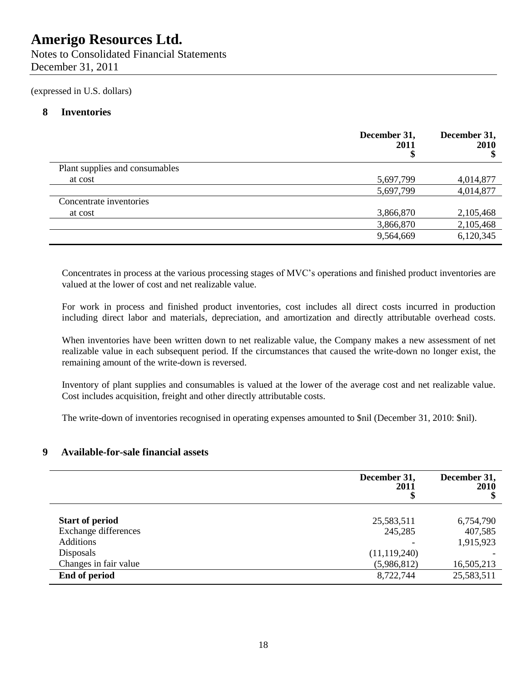Notes to Consolidated Financial Statements December 31, 2011

(expressed in U.S. dollars)

## **8 Inventories**

|                                | December 31,<br>2011<br>\$ | December 31,<br>2010<br>Φ |
|--------------------------------|----------------------------|---------------------------|
| Plant supplies and consumables |                            |                           |
| at cost                        | 5,697,799                  | 4,014,877                 |
|                                | 5,697,799                  | 4,014,877                 |
| Concentrate inventories        |                            |                           |
| at cost                        | 3,866,870                  | 2,105,468                 |
|                                | 3,866,870                  | 2,105,468                 |
|                                | 9,564,669                  | 6,120,345                 |

Concentrates in process at the various processing stages of MVC's operations and finished product inventories are valued at the lower of cost and net realizable value.

For work in process and finished product inventories, cost includes all direct costs incurred in production including direct labor and materials, depreciation, and amortization and directly attributable overhead costs.

When inventories have been written down to net realizable value, the Company makes a new assessment of net realizable value in each subsequent period. If the circumstances that caused the write-down no longer exist, the remaining amount of the write-down is reversed.

Inventory of plant supplies and consumables is valued at the lower of the average cost and net realizable value. Cost includes acquisition, freight and other directly attributable costs.

The write-down of inventories recognised in operating expenses amounted to \$nil (December 31, 2010: \$nil).

## **9 Available-for-sale financial assets**

|                        | December 31,<br>2011 | December 31,<br><b>2010</b> |
|------------------------|----------------------|-----------------------------|
| <b>Start of period</b> | 25,583,511           | 6,754,790                   |
| Exchange differences   | 245,285              | 407,585                     |
| <b>Additions</b>       |                      | 1,915,923                   |
| Disposals              | (11, 119, 240)       |                             |
| Changes in fair value  | (5,986,812)          | 16,505,213                  |
| End of period          | 8,722,744            | 25,583,511                  |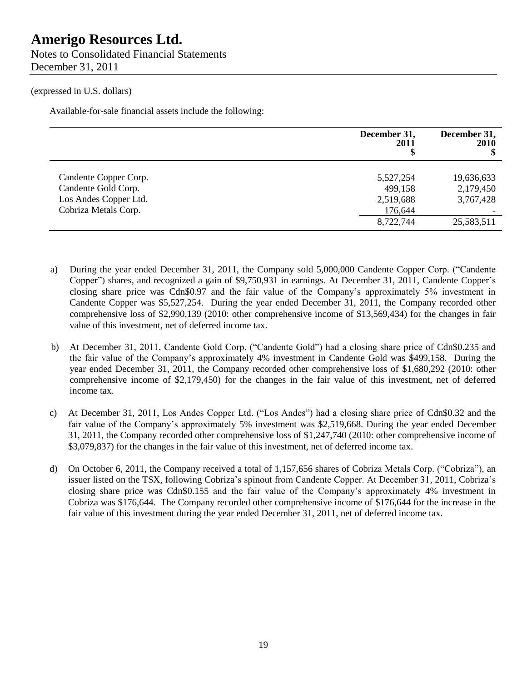Notes to Consolidated Financial Statements December 31, 2011

## (expressed in U.S. dollars)

Available-for-sale financial assets include the following:

|                       | December 31,<br>2011<br>\$ | December 31,<br><b>2010</b><br>ъ |
|-----------------------|----------------------------|----------------------------------|
| Candente Copper Corp. | 5,527,254                  | 19,636,633                       |
| Candente Gold Corp.   | 499,158                    | 2,179,450                        |
| Los Andes Copper Ltd. | 2,519,688                  | 3,767,428                        |
| Cobriza Metals Corp.  | 176,644                    |                                  |
|                       | 8,722,744                  | 25,583,511                       |

- a) During the year ended December 31, 2011, the Company sold 5,000,000 Candente Copper Corp. ("Candente Copper") shares, and recognized a gain of \$9,750,931 in earnings. At December 31, 2011, Candente Copper's closing share price was Cdn\$0.97 and the fair value of the Company's approximately 5% investment in Candente Copper was \$5,527,254. During the year ended December 31, 2011, the Company recorded other comprehensive loss of \$2,990,139 (2010: other comprehensive income of \$13,569,434) for the changes in fair value of this investment, net of deferred income tax.
- b) At December 31, 2011, Candente Gold Corp. ("Candente Gold") had a closing share price of Cdn\$0.235 and the fair value of the Company's approximately 4% investment in Candente Gold was \$499,158. During the year ended December 31, 2011, the Company recorded other comprehensive loss of \$1,680,292 (2010: other comprehensive income of \$2,179,450) for the changes in the fair value of this investment, net of deferred income tax.
- c) At December 31, 2011, Los Andes Copper Ltd. ("Los Andes") had a closing share price of Cdn\$0.32 and the fair value of the Company's approximately 5% investment was \$2,519,668. During the year ended December 31, 2011, the Company recorded other comprehensive loss of \$1,247,740 (2010: other comprehensive income of \$3,079,837) for the changes in the fair value of this investment, net of deferred income tax.
- d) On October 6, 2011, the Company received a total of  $1,157,656$  shares of Cobriza Metals Corp. ("Cobriza"), an issuer listed on the TSX, following Cobriza's spinout from Candente Copper. At December 31, 2011, Cobriza's closing share price was Cdn\$0.155 and the fair value of the Company's approximately 4% investment in Cobriza was \$176,644. The Company recorded other comprehensive income of \$176,644 for the increase in the fair value of this investment during the year ended December 31, 2011, net of deferred income tax.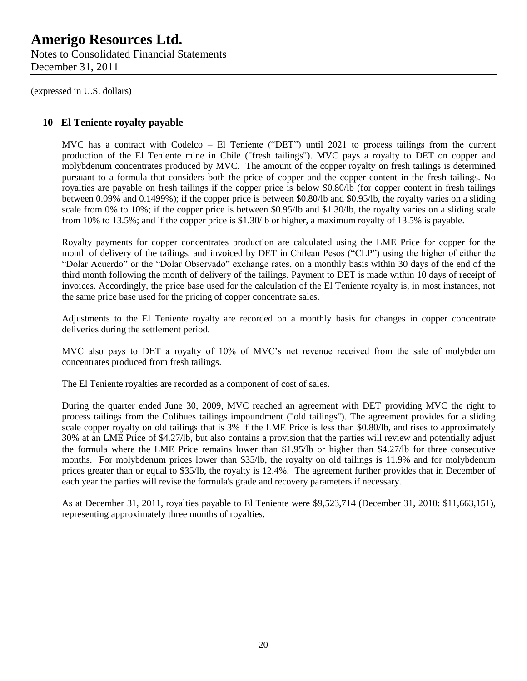Notes to Consolidated Financial Statements December 31, 2011

(expressed in U.S. dollars)

## **10 El Teniente royalty payable**

MVC has a contract with Codelco – El Teniente ("DET") until 2021 to process tailings from the current production of the El Teniente mine in Chile ("fresh tailings"). MVC pays a royalty to DET on copper and molybdenum concentrates produced by MVC. The amount of the copper royalty on fresh tailings is determined pursuant to a formula that considers both the price of copper and the copper content in the fresh tailings. No royalties are payable on fresh tailings if the copper price is below \$0.80/lb (for copper content in fresh tailings between 0.09% and 0.1499%); if the copper price is between \$0.80/lb and \$0.95/lb, the royalty varies on a sliding scale from 0% to 10%; if the copper price is between \$0.95/lb and \$1.30/lb, the royalty varies on a sliding scale from 10% to 13.5%; and if the copper price is \$1.30/lb or higher, a maximum royalty of 13.5% is payable.

Royalty payments for copper concentrates production are calculated using the LME Price for copper for the month of delivery of the tailings, and invoiced by DET in Chilean Pesos ("CLP") using the higher of either the ―Dolar Acuerdo‖ or the ―Dolar Observado‖ exchange rates, on a monthly basis within 30 days of the end of the third month following the month of delivery of the tailings. Payment to DET is made within 10 days of receipt of invoices. Accordingly, the price base used for the calculation of the El Teniente royalty is, in most instances, not the same price base used for the pricing of copper concentrate sales.

Adjustments to the El Teniente royalty are recorded on a monthly basis for changes in copper concentrate deliveries during the settlement period.

MVC also pays to DET a royalty of 10% of MVC's net revenue received from the sale of molybdenum concentrates produced from fresh tailings.

The El Teniente royalties are recorded as a component of cost of sales.

During the quarter ended June 30, 2009, MVC reached an agreement with DET providing MVC the right to process tailings from the Colihues tailings impoundment ("old tailings"). The agreement provides for a sliding scale copper royalty on old tailings that is 3% if the LME Price is less than \$0.80/lb, and rises to approximately 30% at an LME Price of \$4.27/lb, but also contains a provision that the parties will review and potentially adjust the formula where the LME Price remains lower than \$1.95/lb or higher than \$4.27/lb for three consecutive months. For molybdenum prices lower than \$35/lb, the royalty on old tailings is 11.9% and for molybdenum prices greater than or equal to \$35/lb, the royalty is 12.4%. The agreement further provides that in December of each year the parties will revise the formula's grade and recovery parameters if necessary.

As at December 31, 2011, royalties payable to El Teniente were \$9,523,714 (December 31, 2010: \$11,663,151), representing approximately three months of royalties.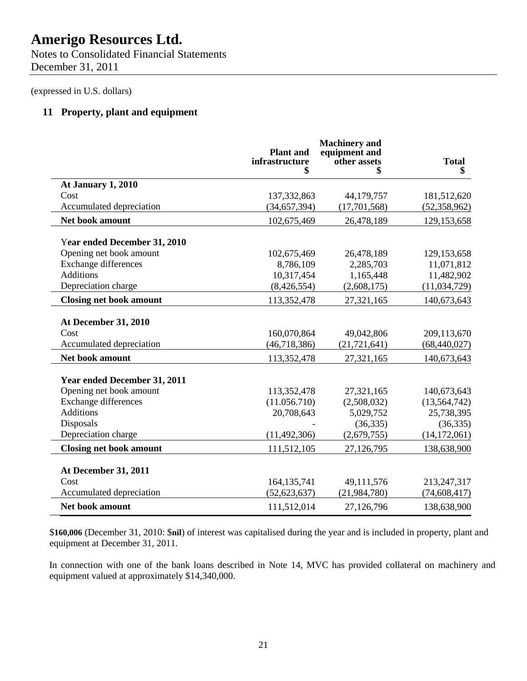Notes to Consolidated Financial Statements December 31, 2011

(expressed in U.S. dollars)

## **11 Property, plant and equipment**

|                                     | <b>Plant</b> and<br>infrastructure<br>\$ | <b>Machinery</b> and<br>equipment and<br>other assets<br>\$ | <b>Total</b><br>\$ |
|-------------------------------------|------------------------------------------|-------------------------------------------------------------|--------------------|
| At January 1, 2010                  |                                          |                                                             |                    |
| Cost                                | 137, 332, 863                            | 44,179,757                                                  | 181,512,620        |
| Accumulated depreciation            | (34, 657, 394)                           | (17,701,568)                                                | (52, 358, 962)     |
| Net book amount                     | 102,675,469                              | 26,478,189                                                  | 129, 153, 658      |
| Year ended December 31, 2010        |                                          |                                                             |                    |
| Opening net book amount             | 102,675,469                              | 26,478,189                                                  | 129, 153, 658      |
| Exchange differences                | 8,786,109                                | 2,285,703                                                   | 11,071,812         |
| <b>Additions</b>                    | 10,317,454                               | 1,165,448                                                   | 11,482,902         |
| Depreciation charge                 | (8,426,554)                              | (2,608,175)                                                 | (11, 034, 729)     |
| <b>Closing net book amount</b>      | 113,352,478                              | 27,321,165                                                  | 140,673,643        |
| <b>At December 31, 2010</b><br>Cost | 160,070,864                              | 49,042,806                                                  | 209,113,670        |
| Accumulated depreciation            | (46, 718, 386)                           | (21, 721, 641)                                              | (68, 440, 027)     |
| Net book amount                     | 113,352,478                              | 27,321,165                                                  | 140,673,643        |
| Year ended December 31, 2011        |                                          |                                                             |                    |
| Opening net book amount             | 113,352,478                              | 27,321,165                                                  | 140,673,643        |
| Exchange differences                | (11.056.710)                             | (2,508,032)                                                 | (13, 564, 742)     |
| <b>Additions</b>                    | 20,708,643                               | 5,029,752                                                   | 25,738,395         |
| Disposals                           |                                          | (36, 335)                                                   | (36, 335)          |
| Depreciation charge                 | (11, 492, 306)                           | (2,679,755)                                                 | (14, 172, 061)     |
| <b>Closing net book amount</b>      | 111,512,105                              | 27,126,795                                                  | 138,638,900        |
| At December 31, 2011                |                                          |                                                             |                    |
| Cost                                | 164, 135, 741                            | 49,111,576                                                  | 213,247,317        |
| Accumulated depreciation            | (52, 623, 637)                           | (21, 984, 780)                                              | (74, 608, 417)     |
| Net book amount                     | 111,512,014                              | 27,126,796                                                  | 138,638,900        |

\$**160,006** (December 31, 2010: \$**nil**) of interest was capitalised during the year and is included in property, plant and equipment at December 31, 2011.

In connection with one of the bank loans described in Note 14, MVC has provided collateral on machinery and equipment valued at approximately \$14,340,000.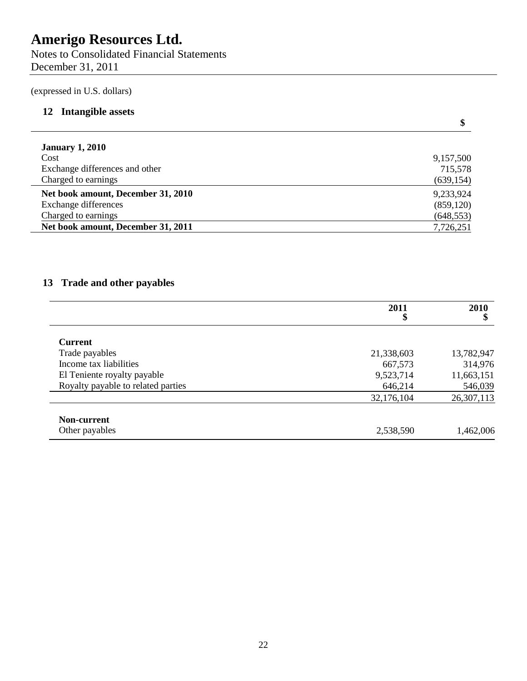Notes to Consolidated Financial Statements December 31, 2011

(expressed in U.S. dollars)

## **12 Intangible assets**

|                                    | \$         |
|------------------------------------|------------|
| <b>January 1, 2010</b>             |            |
| Cost                               | 9,157,500  |
| Exchange differences and other     | 715,578    |
| Charged to earnings                | (639, 154) |
| Net book amount, December 31, 2010 | 9,233,924  |
| Exchange differences               | (859, 120) |
| Charged to earnings                | (648, 553) |
| Net book amount, December 31, 2011 | 7,726,251  |

## **13 Trade and other payables**

|                                    | 2011<br>Φ  | 2010<br>\$ |
|------------------------------------|------------|------------|
| <b>Current</b>                     |            |            |
| Trade payables                     | 21,338,603 | 13,782,947 |
| Income tax liabilities             | 667,573    | 314,976    |
| El Teniente royalty payable        | 9,523,714  | 11,663,151 |
| Royalty payable to related parties | 646,214    | 546,039    |
|                                    | 32,176,104 | 26,307,113 |
| Non-current                        |            |            |
| Other payables                     | 2,538,590  | 1,462,006  |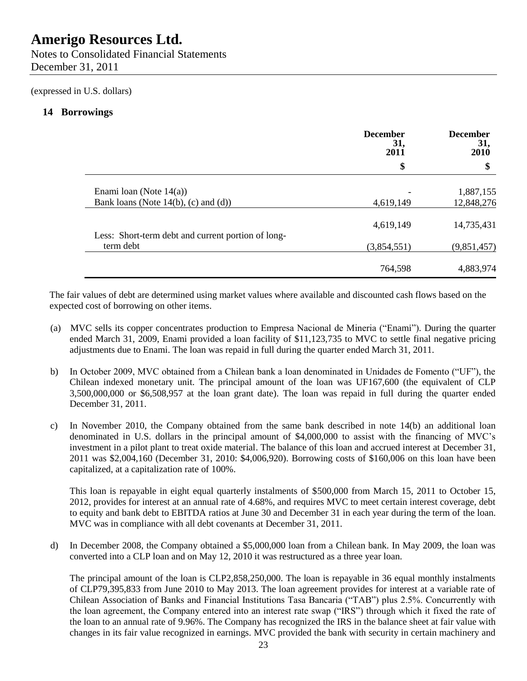Notes to Consolidated Financial Statements December 31, 2011

(expressed in U.S. dollars)

## **14 Borrowings**

|                                                    | <b>December</b><br>31,<br>2011 | <b>December</b><br>31,<br>2010 |
|----------------------------------------------------|--------------------------------|--------------------------------|
|                                                    | \$                             | \$                             |
| Enami Ioan (Note $14(a)$ )                         |                                | 1,887,155                      |
| Bank loans (Note $14(b)$ , (c) and (d))            | 4,619,149                      | 12,848,276                     |
| Less: Short-term debt and current portion of long- | 4,619,149                      | 14,735,431                     |
| term debt                                          | (3,854,551)                    | (9,851,457)                    |
|                                                    | 764,598                        | 4,883,974                      |

The fair values of debt are determined using market values where available and discounted cash flows based on the expected cost of borrowing on other items.

- (a) MVC sells its copper concentrates production to Empresa Nacional de Mineria ("Enami"). During the quarter ended March 31, 2009, Enami provided a loan facility of \$11,123,735 to MVC to settle final negative pricing adjustments due to Enami. The loan was repaid in full during the quarter ended March 31, 2011.
- b) In October 2009, MVC obtained from a Chilean bank a loan denominated in Unidades de Fomento ("UF"), the Chilean indexed monetary unit. The principal amount of the loan was UF167,600 (the equivalent of CLP 3,500,000,000 or \$6,508,957 at the loan grant date). The loan was repaid in full during the quarter ended December 31, 2011.
- c) In November 2010, the Company obtained from the same bank described in note 14(b) an additional loan denominated in U.S. dollars in the principal amount of \$4,000,000 to assist with the financing of MVC's investment in a pilot plant to treat oxide material. The balance of this loan and accrued interest at December 31, 2011 was \$2,004,160 (December 31, 2010: \$4,006,920). Borrowing costs of \$160,006 on this loan have been capitalized, at a capitalization rate of 100%.

This loan is repayable in eight equal quarterly instalments of \$500,000 from March 15, 2011 to October 15, 2012, provides for interest at an annual rate of 4.68%, and requires MVC to meet certain interest coverage, debt to equity and bank debt to EBITDA ratios at June 30 and December 31 in each year during the term of the loan. MVC was in compliance with all debt covenants at December 31, 2011.

d) In December 2008, the Company obtained a \$5,000,000 loan from a Chilean bank. In May 2009, the loan was converted into a CLP loan and on May 12, 2010 it was restructured as a three year loan.

The principal amount of the loan is CLP2,858,250,000. The loan is repayable in 36 equal monthly instalments of CLP79,395,833 from June 2010 to May 2013. The loan agreement provides for interest at a variable rate of Chilean Association of Banks and Financial Institutions Tasa Bancaria ("TAB") plus 2.5%. Concurrently with the loan agreement, the Company entered into an interest rate swap ("IRS") through which it fixed the rate of the loan to an annual rate of 9.96%. The Company has recognized the IRS in the balance sheet at fair value with changes in its fair value recognized in earnings. MVC provided the bank with security in certain machinery and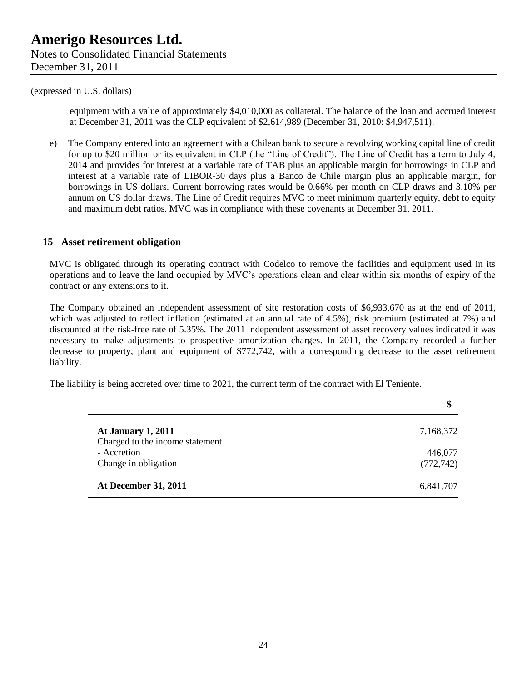#### (expressed in U.S. dollars)

equipment with a value of approximately \$4,010,000 as collateral. The balance of the loan and accrued interest at December 31, 2011 was the CLP equivalent of \$2,614,989 (December 31, 2010: \$4,947,511).

e) The Company entered into an agreement with a Chilean bank to secure a revolving working capital line of credit for up to \$20 million or its equivalent in CLP (the "Line of Credit"). The Line of Credit has a term to July 4, 2014 and provides for interest at a variable rate of TAB plus an applicable margin for borrowings in CLP and interest at a variable rate of LIBOR-30 days plus a Banco de Chile margin plus an applicable margin, for borrowings in US dollars. Current borrowing rates would be 0.66% per month on CLP draws and 3.10% per annum on US dollar draws. The Line of Credit requires MVC to meet minimum quarterly equity, debt to equity and maximum debt ratios. MVC was in compliance with these covenants at December 31, 2011.

## **15 Asset retirement obligation**

MVC is obligated through its operating contract with Codelco to remove the facilities and equipment used in its operations and to leave the land occupied by MVC's operations clean and clear within six months of expiry of the contract or any extensions to it.

The Company obtained an independent assessment of site restoration costs of \$6,933,670 as at the end of 2011, which was adjusted to reflect inflation (estimated at an annual rate of 4.5%), risk premium (estimated at 7%) and discounted at the risk-free rate of 5.35%. The 2011 independent assessment of asset recovery values indicated it was necessary to make adjustments to prospective amortization charges. In 2011, the Company recorded a further decrease to property, plant and equipment of \$772,742, with a corresponding decrease to the asset retirement liability.

The liability is being accreted over time to 2021, the current term of the contract with El Teniente.

|                                 | \$         |
|---------------------------------|------------|
| <b>At January 1, 2011</b>       | 7,168,372  |
| Charged to the income statement |            |
| - Accretion                     | 446,077    |
| Change in obligation            | (772, 742) |
| <b>At December 31, 2011</b>     | 6,841,707  |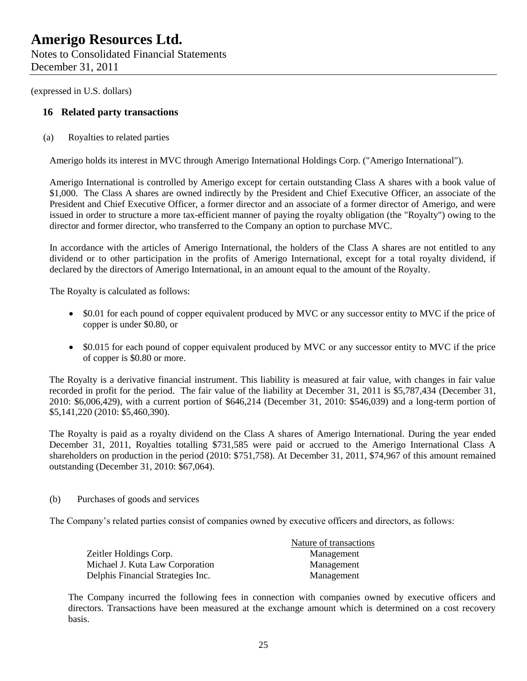Notes to Consolidated Financial Statements December 31, 2011

(expressed in U.S. dollars)

## **16 Related party transactions**

(a) Royalties to related parties

Amerigo holds its interest in MVC through Amerigo International Holdings Corp. ("Amerigo International").

Amerigo International is controlled by Amerigo except for certain outstanding Class A shares with a book value of \$1,000. The Class A shares are owned indirectly by the President and Chief Executive Officer, an associate of the President and Chief Executive Officer, a former director and an associate of a former director of Amerigo, and were issued in order to structure a more tax-efficient manner of paying the royalty obligation (the "Royalty") owing to the director and former director, who transferred to the Company an option to purchase MVC.

In accordance with the articles of Amerigo International, the holders of the Class A shares are not entitled to any dividend or to other participation in the profits of Amerigo International, except for a total royalty dividend, if declared by the directors of Amerigo International, in an amount equal to the amount of the Royalty.

The Royalty is calculated as follows:

- \$0.01 for each pound of copper equivalent produced by MVC or any successor entity to MVC if the price of copper is under \$0.80, or
- \$0.015 for each pound of copper equivalent produced by MVC or any successor entity to MVC if the price of copper is \$0.80 or more.

The Royalty is a derivative financial instrument. This liability is measured at fair value, with changes in fair value recorded in profit for the period. The fair value of the liability at December 31, 2011 is \$5,787,434 (December 31, 2010: \$6,006,429), with a current portion of \$646,214 (December 31, 2010: \$546,039) and a long-term portion of \$5,141,220 (2010: \$5,460,390).

The Royalty is paid as a royalty dividend on the Class A shares of Amerigo International. During the year ended December 31, 2011, Royalties totalling \$731,585 were paid or accrued to the Amerigo International Class A shareholders on production in the period (2010: \$751,758). At December 31, 2011, \$74,967 of this amount remained outstanding (December 31, 2010: \$67,064).

(b) Purchases of goods and services

The Company's related parties consist of companies owned by executive officers and directors, as follows:

|                                   | Nature of transactions |
|-----------------------------------|------------------------|
| Zeitler Holdings Corp.            | Management             |
| Michael J. Kuta Law Corporation   | Management             |
| Delphis Financial Strategies Inc. | Management             |

The Company incurred the following fees in connection with companies owned by executive officers and directors. Transactions have been measured at the exchange amount which is determined on a cost recovery basis.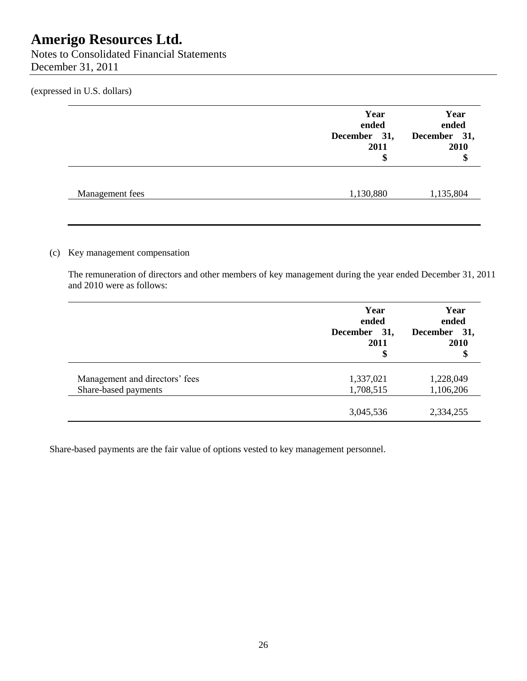Notes to Consolidated Financial Statements December 31, 2011

(expressed in U.S. dollars)

|                 | Year<br>ended<br>December 31,<br>2011<br>\$ | Year<br>ended<br>December 31,<br>2010<br>\$ |  |
|-----------------|---------------------------------------------|---------------------------------------------|--|
| Management fees | 1,130,880                                   | 1,135,804                                   |  |

## (c) Key management compensation

The remuneration of directors and other members of key management during the year ended December 31, 2011 and 2010 were as follows:

|                                | Year<br>ended<br>December 31,<br>2011<br>\$ | Year<br>ended<br>December 31,<br>2010<br>\$ |
|--------------------------------|---------------------------------------------|---------------------------------------------|
| Management and directors' fees | 1,337,021                                   | 1,228,049                                   |
| Share-based payments           | 1,708,515                                   | 1,106,206                                   |
|                                | 3,045,536                                   | 2,334,255                                   |

Share-based payments are the fair value of options vested to key management personnel.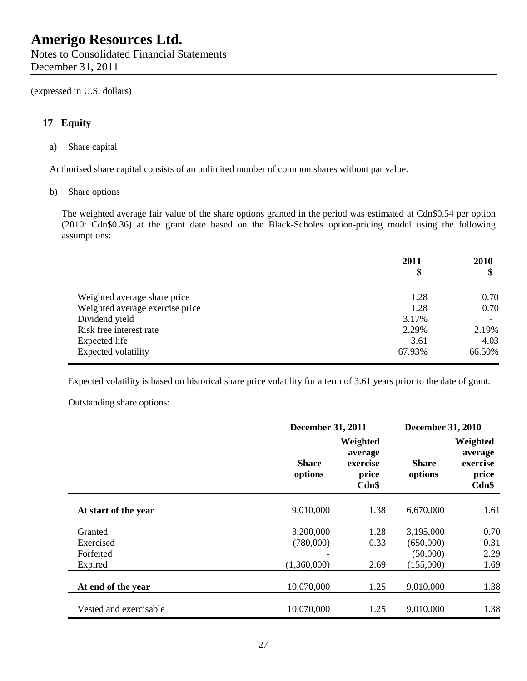Notes to Consolidated Financial Statements December 31, 2011

(expressed in U.S. dollars)

## **17 Equity**

a) Share capital

Authorised share capital consists of an unlimited number of common shares without par value.

b) Share options

The weighted average fair value of the share options granted in the period was estimated at Cdn\$0.54 per option (2010: Cdn\$0.36) at the grant date based on the Black-Scholes option-pricing model using the following assumptions:

|                                 | 2011<br>\$ | 2010<br>¢<br>Φ |
|---------------------------------|------------|----------------|
| Weighted average share price    | 1.28       | 0.70           |
| Weighted average exercise price | 1.28       | 0.70           |
| Dividend yield                  | 3.17%      |                |
| Risk free interest rate         | 2.29%      | 2.19%          |
| Expected life                   | 3.61       | 4.03           |
| Expected volatility             | 67.93%     | 66.50%         |

Expected volatility is based on historical share price volatility for a term of 3.61 years prior to the date of grant.

### Outstanding share options:

|                        | <b>December 31, 2011</b> |                                                   | <b>December 31, 2010</b> |                                                   |
|------------------------|--------------------------|---------------------------------------------------|--------------------------|---------------------------------------------------|
|                        | <b>Share</b><br>options  | Weighted<br>average<br>exercise<br>price<br>Cdn\$ | <b>Share</b><br>options  | Weighted<br>average<br>exercise<br>price<br>Cdn\$ |
| At start of the year   | 9,010,000                | 1.38                                              | 6,670,000                | 1.61                                              |
| Granted                | 3,200,000                | 1.28                                              | 3,195,000                | 0.70                                              |
| Exercised              | (780,000)                | 0.33                                              | (650,000)                | 0.31                                              |
| Forfeited              |                          |                                                   | (50,000)                 | 2.29                                              |
| Expired                | (1,360,000)              | 2.69                                              | (155,000)                | 1.69                                              |
| At end of the year     | 10,070,000               | 1.25                                              | 9,010,000                | 1.38                                              |
| Vested and exercisable | 10,070,000               | 1.25                                              | 9,010,000                | 1.38                                              |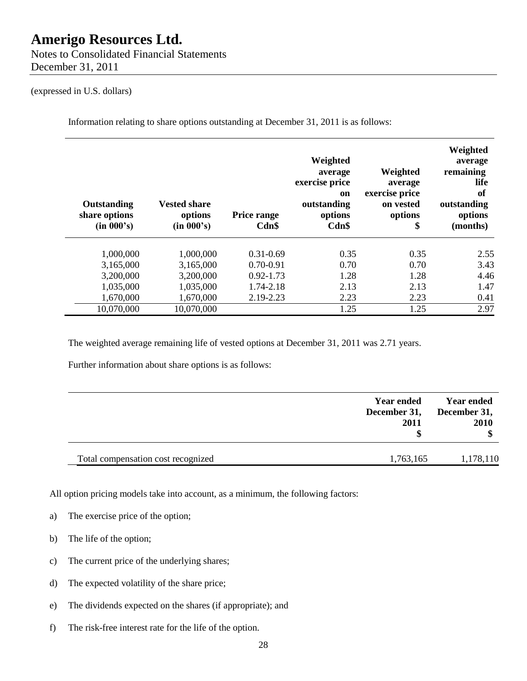Notes to Consolidated Financial Statements December 31, 2011

### (expressed in U.S. dollars)

Information relating to share options outstanding at December 31, 2011 is as follows:

| Outstanding<br>share options<br>(in 000's) | <b>Vested share</b><br>options<br>(in 000's) | <b>Price range</b><br>Cdn\$ | Weighted<br>average<br>exercise price<br><b>on</b><br>outstanding<br>options<br>Cdn\$ | Weighted<br>average<br>exercise price<br>on vested<br>options<br>\$ | Weighted<br>average<br>remaining<br>life<br>of<br>outstanding<br>options<br>(months) |
|--------------------------------------------|----------------------------------------------|-----------------------------|---------------------------------------------------------------------------------------|---------------------------------------------------------------------|--------------------------------------------------------------------------------------|
| 1,000,000                                  | 1,000,000                                    | $0.31 - 0.69$               | 0.35                                                                                  | 0.35                                                                | 2.55                                                                                 |
| 3,165,000                                  | 3,165,000                                    | 0.70-0.91                   | 0.70                                                                                  | 0.70                                                                | 3.43                                                                                 |
| 3,200,000                                  | 3,200,000                                    | $0.92 - 1.73$               | 1.28                                                                                  | 1.28                                                                | 4.46                                                                                 |
| 1,035,000                                  | 1,035,000                                    | 1.74-2.18                   | 2.13                                                                                  | 2.13                                                                | 1.47                                                                                 |
| 1,670,000                                  | 1,670,000                                    | 2.19-2.23                   | 2.23                                                                                  | 2.23                                                                | 0.41                                                                                 |
| 10,070,000                                 | 10,070,000                                   |                             | 1.25                                                                                  | 1.25                                                                | 2.97                                                                                 |

The weighted average remaining life of vested options at December 31, 2011 was 2.71 years.

Further information about share options is as follows:

|                                    | <b>Year ended</b><br>December 31,<br>2011 | <b>Year ended</b><br>December 31,<br>2010 |
|------------------------------------|-------------------------------------------|-------------------------------------------|
| Total compensation cost recognized | 1,763,165                                 | 1,178,110                                 |

All option pricing models take into account, as a minimum, the following factors:

- a) The exercise price of the option;
- b) The life of the option;
- c) The current price of the underlying shares;
- d) The expected volatility of the share price;
- e) The dividends expected on the shares (if appropriate); and
- f) The risk-free interest rate for the life of the option.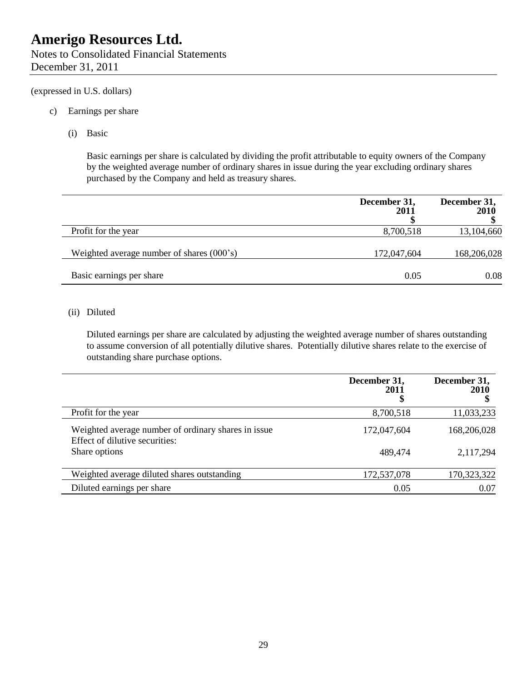December 31, 2011

## (expressed in U.S. dollars)

- c) Earnings per share
	- (i) Basic

Basic earnings per share is calculated by dividing the profit attributable to equity owners of the Company by the weighted average number of ordinary shares in issue during the year excluding ordinary shares purchased by the Company and held as treasury shares.

|                                           | December 31,<br>2011 | December 31,<br><b>2010</b> |
|-------------------------------------------|----------------------|-----------------------------|
| Profit for the year                       | 8,700,518            | 13,104,660                  |
| Weighted average number of shares (000's) | 172,047,604          | 168,206,028                 |
| Basic earnings per share                  | 0.05                 | 0.08                        |

## (ii) Diluted

Diluted earnings per share are calculated by adjusting the weighted average number of shares outstanding to assume conversion of all potentially dilutive shares. Potentially dilutive shares relate to the exercise of outstanding share purchase options.

|                                                                                        | December 31,<br>2011<br>\$ | December 31,<br>2010 |
|----------------------------------------------------------------------------------------|----------------------------|----------------------|
| Profit for the year                                                                    | 8,700,518                  | 11,033,233           |
| Weighted average number of ordinary shares in issue.<br>Effect of dilutive securities: | 172,047,604                | 168,206,028          |
| Share options                                                                          | 489,474                    | 2,117,294            |
| Weighted average diluted shares outstanding                                            | 172,537,078                | 170,323,322          |
| Diluted earnings per share                                                             | 0.05                       | 0.07                 |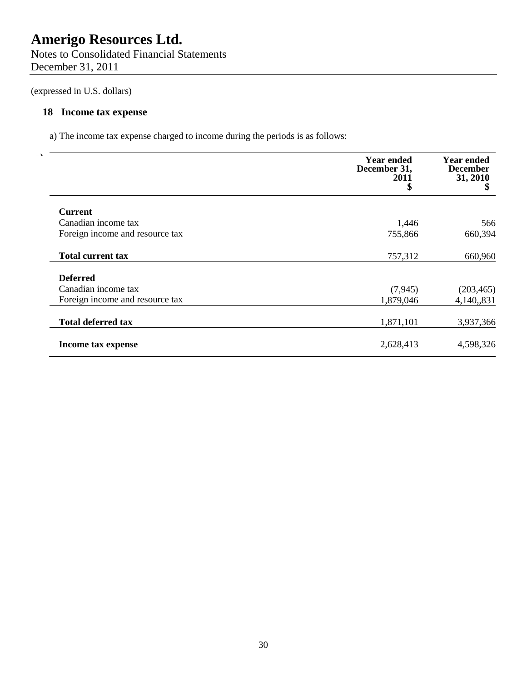Notes to Consolidated Financial Statements December 31, 2011

(expressed in U.S. dollars)

**a)**

## **18 Income tax expense**

a) The income tax expense charged to income during the periods is as follows:

|                                 | <b>Year ended</b><br>December 31,<br>2011<br>\$ | <b>Year ended</b><br><b>December</b><br>31, 2010 |
|---------------------------------|-------------------------------------------------|--------------------------------------------------|
| <b>Current</b>                  |                                                 |                                                  |
| Canadian income tax             | 1,446                                           | 566                                              |
| Foreign income and resource tax | 755,866                                         | 660,394                                          |
| <b>Total current tax</b>        | 757,312                                         | 660,960                                          |
| <b>Deferred</b>                 |                                                 |                                                  |
| Canadian income tax             | (7, 945)                                        | (203, 465)                                       |
| Foreign income and resource tax | 1,879,046                                       | 4,140,,831                                       |
| <b>Total deferred tax</b>       | 1,871,101                                       | 3,937,366                                        |
| Income tax expense              | 2,628,413                                       | 4,598,326                                        |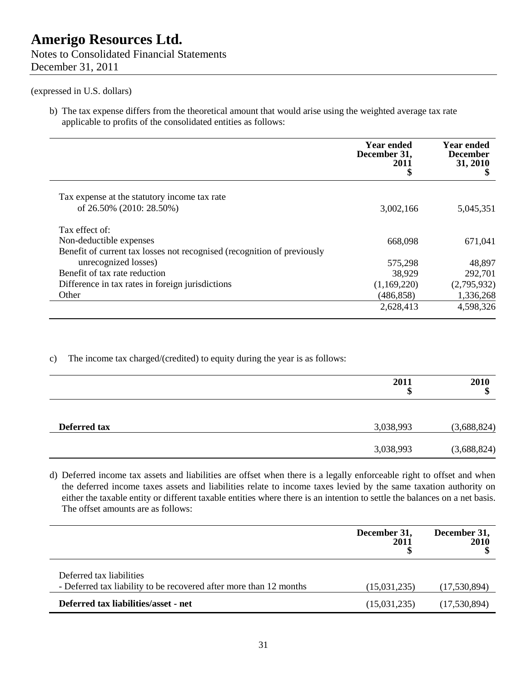Notes to Consolidated Financial Statements December 31, 2011

### (expressed in U.S. dollars)

b) The tax expense differs from the theoretical amount that would arise using the weighted average tax rate applicable to profits of the consolidated entities as follows:

|                                                                         | <b>Year ended</b><br>December 31,<br>2011 | <b>Year ended</b><br><b>December</b><br>31, 2010 |
|-------------------------------------------------------------------------|-------------------------------------------|--------------------------------------------------|
| Tax expense at the statutory income tax rate                            |                                           |                                                  |
| of 26.50% (2010: 28.50%)                                                | 3,002,166                                 | 5,045,351                                        |
| Tax effect of:                                                          |                                           |                                                  |
| Non-deductible expenses                                                 | 668,098                                   | 671,041                                          |
| Benefit of current tax losses not recognised (recognition of previously |                                           |                                                  |
| unrecognized losses)                                                    | 575,298                                   | 48,897                                           |
| Benefit of tax rate reduction                                           | 38,929                                    | 292,701                                          |
| Difference in tax rates in foreign jurisdictions                        | (1,169,220)                               | (2,795,932)                                      |
| Other                                                                   | (486, 858)                                | 1,336,268                                        |
|                                                                         | 2,628,413                                 | 4,598,326                                        |

c) The income tax charged/(credited) to equity during the year is as follows:

|              | 2011<br>\$ | 2010        |
|--------------|------------|-------------|
| Deferred tax | 3,038,993  | (3,688,824) |
|              | 3,038,993  | (3,688,824) |

d) Deferred income tax assets and liabilities are offset when there is a legally enforceable right to offset and when the deferred income taxes assets and liabilities relate to income taxes levied by the same taxation authority on either the taxable entity or different taxable entities where there is an intention to settle the balances on a net basis. The offset amounts are as follows:

|                                                                                                | December 31,<br>2011 | December 31,<br><b>2010</b> |
|------------------------------------------------------------------------------------------------|----------------------|-----------------------------|
| Deferred tax liabilities<br>- Deferred tax liability to be recovered after more than 12 months | (15,031,235)         | (17, 530, 894)              |
| Deferred tax liabilities/asset - net                                                           | (15,031,235)         | (17,530,894)                |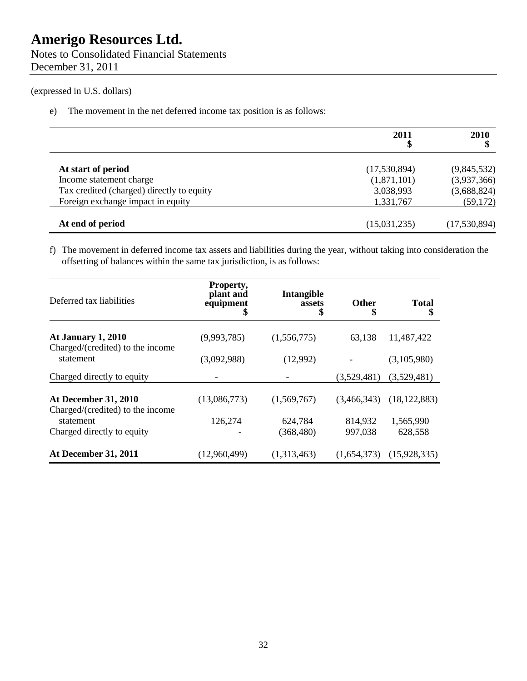Notes to Consolidated Financial Statements December 31, 2011

## (expressed in U.S. dollars)

e) The movement in the net deferred income tax position is as follows:

|                                           | 2011<br>\$   | 2010         |
|-------------------------------------------|--------------|--------------|
| At start of period                        | (17,530,894) | (9,845,532)  |
| Income statement charge                   | (1,871,101)  | (3,937,366)  |
| Tax credited (charged) directly to equity | 3,038,993    | (3,688,824)  |
| Foreign exchange impact in equity         | 1,331,767    | (59, 172)    |
| At end of period                          | (15,031,235) | (17,530,894) |

f) The movement in deferred income tax assets and liabilities during the year, without taking into consideration the offsetting of balances within the same tax jurisdiction, is as follows:

| Deferred tax liabilities                                        | Property,<br>plant and<br>equipment | Intangible<br>assets<br>\$ | <b>Other</b><br>\$ | <b>Total</b><br>\$   |
|-----------------------------------------------------------------|-------------------------------------|----------------------------|--------------------|----------------------|
| <b>At January 1, 2010</b><br>Charged/(credited) to the income   | (9,993,785)                         | (1,556,775)                | 63,138             | 11,487,422           |
| statement                                                       | (3,092,988)                         | (12,992)                   |                    | (3,105,980)          |
| Charged directly to equity                                      |                                     |                            | (3,529,481)        | (3,529,481)          |
| <b>At December 31, 2010</b><br>Charged/(credited) to the income | (13,086,773)                        | (1,569,767)                | (3,466,343)        | (18, 122, 883)       |
| statement<br>Charged directly to equity                         | 126,274                             | 624,784<br>(368, 480)      | 814,932<br>997,038 | 1,565,990<br>628,558 |
| <b>At December 31, 2011</b>                                     | (12,960,499)                        | (1,313,463)                | (1,654,373)        | (15,928,335)         |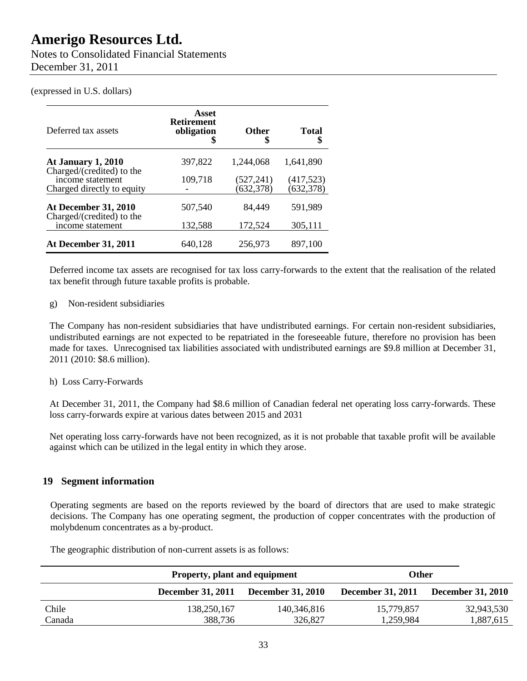Notes to Consolidated Financial Statements December 31, 2011

(expressed in U.S. dollars)

| Deferred tax assets                                    | Asset<br><b>Retirement</b><br>obligation<br>S | <b>Other</b><br>S        | <b>Total</b><br>S       |
|--------------------------------------------------------|-----------------------------------------------|--------------------------|-------------------------|
| <b>At January 1, 2010</b><br>Charged/(credited) to the | 397,822                                       | 1,244,068                | 1,641,890               |
| income statement<br>Charged directly to equity         | 109,718                                       | (527, 241)<br>(632, 378) | (417,523)<br>(632, 378) |
| <b>At December 31, 2010</b>                            | 507,540                                       | 84,449                   | 591,989                 |
| Charged/(credited) to the<br>income statement          | 132,588                                       | 172,524                  | 305,111                 |
| <b>At December 31, 2011</b>                            | 640,128                                       | 256,973                  | 897,100                 |

Deferred income tax assets are recognised for tax loss carry-forwards to the extent that the realisation of the related tax benefit through future taxable profits is probable.

g) Non-resident subsidiaries

The Company has non-resident subsidiaries that have undistributed earnings. For certain non-resident subsidiaries, undistributed earnings are not expected to be repatriated in the foreseeable future, therefore no provision has been made for taxes. Unrecognised tax liabilities associated with undistributed earnings are \$9.8 million at December 31, 2011 (2010: \$8.6 million).

h) Loss Carry-Forwards

At December 31, 2011, the Company had \$8.6 million of Canadian federal net operating loss carry-forwards. These loss carry-forwards expire at various dates between 2015 and 2031

Net operating loss carry-forwards have not been recognized, as it is not probable that taxable profit will be available against which can be utilized in the legal entity in which they arose.

## **19 Segment information**

Operating segments are based on the reports reviewed by the board of directors that are used to make strategic decisions. The Company has one operating segment, the production of copper concentrates with the production of molybdenum concentrates as a by-product.

| <b>Property, plant and equipment</b> |                          |                          | <b>Other</b>             |                          |
|--------------------------------------|--------------------------|--------------------------|--------------------------|--------------------------|
|                                      | <b>December 31, 2011</b> | <b>December 31, 2010</b> | <b>December 31, 2011</b> | <b>December 31, 2010</b> |
| Chile                                | 138,250,167              | 140,346,816              | 15,779,857               | 32,943,530               |
| Canada                               | 388,736                  | 326,827                  | 1,259,984                | 1,887,615                |

The geographic distribution of non-current assets is as follows: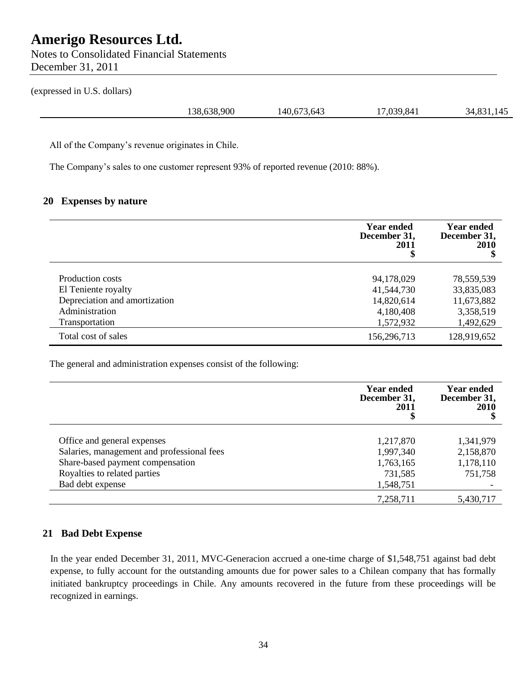Notes to Consolidated Financial Statements December 31, 2011

| 34,831,145<br>138,638,900<br>140,673,643<br>17,039,841 |  |  |
|--------------------------------------------------------|--|--|
|                                                        |  |  |
|                                                        |  |  |

All of the Company's revenue originates in Chile.

The Company's sales to one customer represent 93% of reported revenue (2010: 88%).

## **20 Expenses by nature**

|                               | <b>Year ended</b><br>December 31,<br>2011 | <b>Year ended</b><br>December 31,<br><b>2010</b><br>Φ |
|-------------------------------|-------------------------------------------|-------------------------------------------------------|
| Production costs              | 94,178,029                                | 78,559,539                                            |
| El Teniente royalty           | 41,544,730                                | 33,835,083                                            |
| Depreciation and amortization | 14,820,614                                | 11,673,882                                            |
| Administration                | 4,180,408                                 | 3,358,519                                             |
| Transportation                | 1,572,932                                 | 1,492,629                                             |
| Total cost of sales           | 156,296,713                               | 128,919,652                                           |

The general and administration expenses consist of the following:

|                                            | Year ended<br>December 31,<br>2011 | <b>Year ended</b><br>December 31,<br><b>2010</b> |
|--------------------------------------------|------------------------------------|--------------------------------------------------|
| Office and general expenses                | 1,217,870                          | 1,341,979                                        |
| Salaries, management and professional fees | 1,997,340                          | 2,158,870                                        |
| Share-based payment compensation           | 1,763,165                          | 1,178,110                                        |
| Royalties to related parties               | 731,585                            | 751,758                                          |
| Bad debt expense                           | 1,548,751                          |                                                  |
|                                            | 7,258,711                          | 5,430,717                                        |

## **21 Bad Debt Expense**

In the year ended December 31, 2011, MVC-Generacion accrued a one-time charge of \$1,548,751 against bad debt expense, to fully account for the outstanding amounts due for power sales to a Chilean company that has formally initiated bankruptcy proceedings in Chile. Any amounts recovered in the future from these proceedings will be recognized in earnings.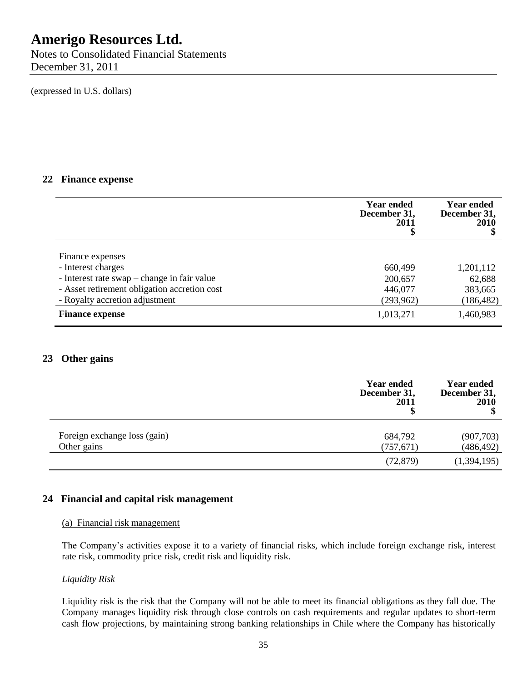Notes to Consolidated Financial Statements December 31, 2011

(expressed in U.S. dollars)

## **22 Finance expense**

|                                              | <b>Year ended</b><br>December 31,<br>2011<br>\$ | <b>Year ended</b><br>December 31,<br><b>2010</b> |
|----------------------------------------------|-------------------------------------------------|--------------------------------------------------|
| Finance expenses                             |                                                 |                                                  |
| - Interest charges                           | 660,499                                         | 1,201,112                                        |
| - Interest rate swap – change in fair value  | 200,657                                         | 62,688                                           |
| - Asset retirement obligation accretion cost | 446,077                                         | 383,665                                          |
| - Royalty accretion adjustment               | (293,962)                                       | (186, 482)                                       |
| <b>Finance expense</b>                       | 1,013,271                                       | 1,460,983                                        |

## **23 Other gains**

|                                             | <b>Year ended</b><br>December 31,<br>2011 | <b>Year ended</b><br>December 31,<br>2010 |
|---------------------------------------------|-------------------------------------------|-------------------------------------------|
| Foreign exchange loss (gain)<br>Other gains | 684,792<br>(757, 671)                     | (907,703)<br>(486, 492)                   |
|                                             | (72, 879)                                 | (1,394,195)                               |

## **24 Financial and capital risk management**

#### (a) Financial risk management

The Company's activities expose it to a variety of financial risks, which include foreign exchange risk, interest rate risk, commodity price risk, credit risk and liquidity risk.

### *Liquidity Risk*

Liquidity risk is the risk that the Company will not be able to meet its financial obligations as they fall due. The Company manages liquidity risk through close controls on cash requirements and regular updates to short-term cash flow projections, by maintaining strong banking relationships in Chile where the Company has historically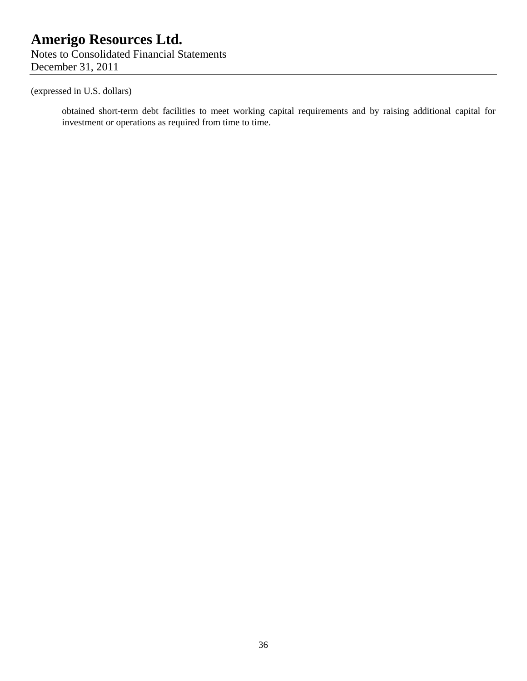Notes to Consolidated Financial Statements December 31, 2011

(expressed in U.S. dollars)

obtained short-term debt facilities to meet working capital requirements and by raising additional capital for investment or operations as required from time to time.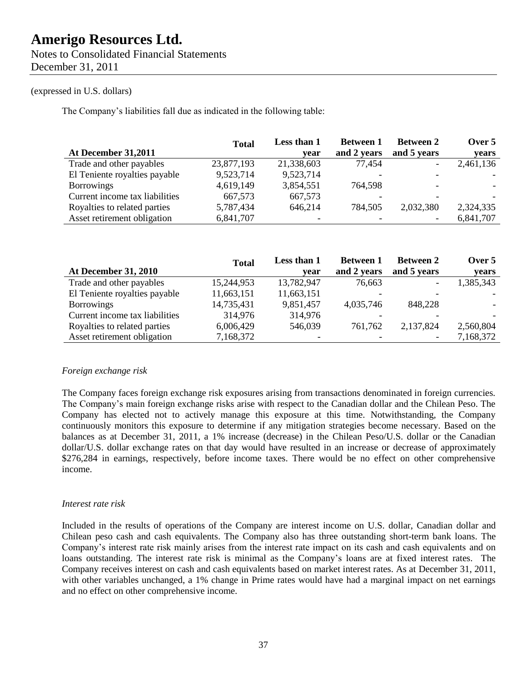Notes to Consolidated Financial Statements December 31, 2011

### (expressed in U.S. dollars)

The Company's liabilities fall due as indicated in the following table:

|                                | <b>Total</b> | Less than 1 | <b>Between 1</b> | <b>Between 2</b> | Over 5    |
|--------------------------------|--------------|-------------|------------------|------------------|-----------|
| At December 31,2011            |              | vear        | and 2 years      | and 5 years      | years     |
| Trade and other payables       | 23,877,193   | 21,338,603  | 77,454           |                  | 2,461,136 |
| El Teniente royalties payable  | 9,523,714    | 9,523,714   |                  |                  |           |
| <b>Borrowings</b>              | 4,619,149    | 3,854,551   | 764,598          |                  |           |
| Current income tax liabilities | 667,573      | 667,573     |                  |                  |           |
| Royalties to related parties   | 5,787,434    | 646,214     | 784,505          | 2,032,380        | 2,324,335 |
| Asset retirement obligation    | 6,841,707    |             |                  |                  | 6,841,707 |

|                                | <b>Total</b> | Less than 1 | <b>Between 1</b> | <b>Between 2</b> | Over 5    |
|--------------------------------|--------------|-------------|------------------|------------------|-----------|
| <b>At December 31, 2010</b>    |              | vear        | and 2 years      | and 5 years      | years     |
| Trade and other payables       | 15,244,953   | 13,782,947  | 76,663           |                  | 1,385,343 |
| El Teniente royalties payable  | 11,663,151   | 11,663,151  |                  |                  |           |
| <b>Borrowings</b>              | 14,735,431   | 9,851,457   | 4,035,746        | 848,228          |           |
| Current income tax liabilities | 314,976      | 314,976     |                  |                  |           |
| Royalties to related parties   | 6,006,429    | 546,039     | 761,762          | 2,137,824        | 2,560,804 |
| Asset retirement obligation    | 7,168,372    |             |                  |                  | 7,168,372 |

### *Foreign exchange risk*

The Company faces foreign exchange risk exposures arising from transactions denominated in foreign currencies. The Company's main foreign exchange risks arise with respect to the Canadian dollar and the Chilean Peso. The Company has elected not to actively manage this exposure at this time. Notwithstanding, the Company continuously monitors this exposure to determine if any mitigation strategies become necessary. Based on the balances as at December 31, 2011, a 1% increase (decrease) in the Chilean Peso/U.S. dollar or the Canadian dollar/U.S. dollar exchange rates on that day would have resulted in an increase or decrease of approximately \$276,284 in earnings, respectively, before income taxes. There would be no effect on other comprehensive income.

### *Interest rate risk*

Included in the results of operations of the Company are interest income on U.S. dollar, Canadian dollar and Chilean peso cash and cash equivalents. The Company also has three outstanding short-term bank loans. The Company's interest rate risk mainly arises from the interest rate impact on its cash and cash equivalents and on loans outstanding. The interest rate risk is minimal as the Company's loans are at fixed interest rates. The Company receives interest on cash and cash equivalents based on market interest rates. As at December 31, 2011, with other variables unchanged, a 1% change in Prime rates would have had a marginal impact on net earnings and no effect on other comprehensive income.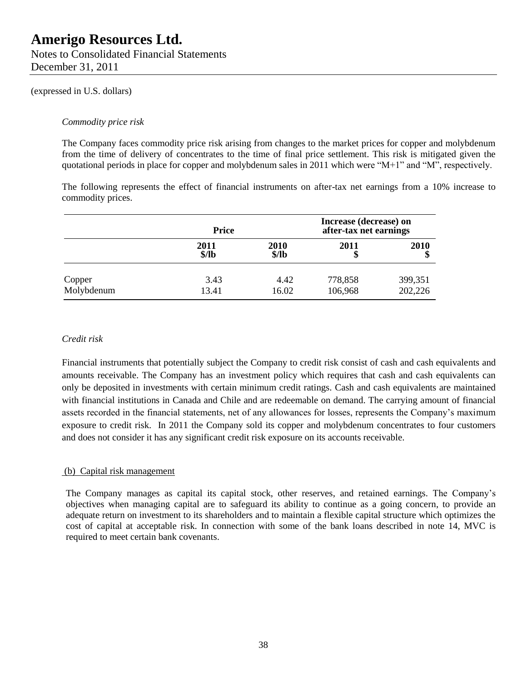Notes to Consolidated Financial Statements December 31, 2011

### (expressed in U.S. dollars)

### *Commodity price risk*

The Company faces commodity price risk arising from changes to the market prices for copper and molybdenum from the time of delivery of concentrates to the time of final price settlement. This risk is mitigated given the quotational periods in place for copper and molybdenum sales in 2011 which were  $(M+1)$  and  $(M)$ , respectively.

The following represents the effect of financial instruments on after-tax net earnings from a 10% increase to commodity prices.

|                      | <b>Price</b>  |               | Increase (decrease) on<br>after-tax net earnings |                    |
|----------------------|---------------|---------------|--------------------------------------------------|--------------------|
|                      | 2011<br>\$/lb | 2010<br>\$/lb | 2011                                             | 2010               |
| Copper<br>Molybdenum | 3.43<br>13.41 | 4.42<br>16.02 | 778,858<br>106,968                               | 399,351<br>202,226 |

#### *Credit risk*

Financial instruments that potentially subject the Company to credit risk consist of cash and cash equivalents and amounts receivable. The Company has an investment policy which requires that cash and cash equivalents can only be deposited in investments with certain minimum credit ratings. Cash and cash equivalents are maintained with financial institutions in Canada and Chile and are redeemable on demand. The carrying amount of financial assets recorded in the financial statements, net of any allowances for losses, represents the Company's maximum exposure to credit risk. In 2011 the Company sold its copper and molybdenum concentrates to four customers and does not consider it has any significant credit risk exposure on its accounts receivable.

### (b) Capital risk management

The Company manages as capital its capital stock, other reserves, and retained earnings. The Company's objectives when managing capital are to safeguard its ability to continue as a going concern, to provide an adequate return on investment to its shareholders and to maintain a flexible capital structure which optimizes the cost of capital at acceptable risk. In connection with some of the bank loans described in note 14, MVC is required to meet certain bank covenants.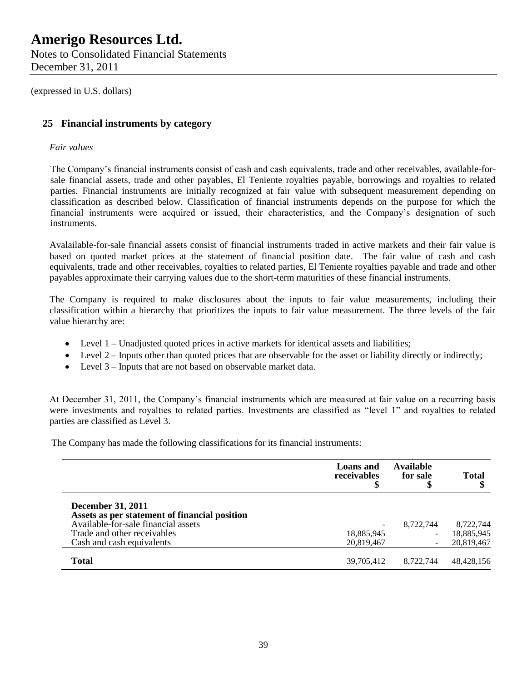Notes to Consolidated Financial Statements December 31, 2011

(expressed in U.S. dollars)

## **25 Financial instruments by category**

#### *Fair values*

The Company's financial instruments consist of cash and cash equivalents, trade and other receivables, available-forsale financial assets, trade and other payables, El Teniente royalties payable, borrowings and royalties to related parties. Financial instruments are initially recognized at fair value with subsequent measurement depending on classification as described below. Classification of financial instruments depends on the purpose for which the financial instruments were acquired or issued, their characteristics, and the Company's designation of such instruments.

Avalailable-for-sale financial assets consist of financial instruments traded in active markets and their fair value is based on quoted market prices at the statement of financial position date. The fair value of cash and cash equivalents, trade and other receivables, royalties to related parties, El Teniente royalties payable and trade and other payables approximate their carrying values due to the short-term maturities of these financial instruments.

The Company is required to make disclosures about the inputs to fair value measurements, including their classification within a hierarchy that prioritizes the inputs to fair value measurement. The three levels of the fair value hierarchy are:

- Level 1 Unadjusted quoted prices in active markets for identical assets and liabilities;
- $\bullet$  Level 2 Inputs other than quoted prices that are observable for the asset or liability directly or indirectly;
- Level 3 Inputs that are not based on observable market data.

At December 31, 2011, the Company's financial instruments which are measured at fair value on a recurring basis were investments and royalties to related parties. Investments are classified as "level 1" and royalties to related parties are classified as Level 3.

The Company has made the following classifications for its financial instruments:

|                                                                                      | Loans and<br>receivables | <b>Available</b><br>for sale | <b>Total</b><br>\$ |
|--------------------------------------------------------------------------------------|--------------------------|------------------------------|--------------------|
| <b>December 31, 2011</b>                                                             |                          |                              |                    |
| Assets as per statement of financial position<br>Available-for-sale financial assets |                          | 8,722,744                    | 8,722,744          |
| Trade and other receivables                                                          | 18,885,945               |                              | 18,885,945         |
| Cash and cash equivalents                                                            | 20,819,467               |                              | 20,819,467         |
| <b>Total</b>                                                                         | 39,705,412               | 8.722.744                    | 48,428,156         |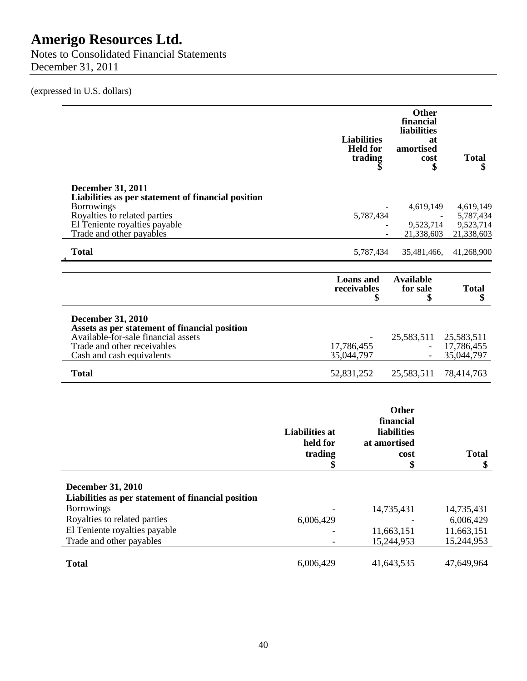Notes to Consolidated Financial Statements December 31, 2011

(expressed in U.S. dollars)

|                                                               |                       | <b>Liabilities</b><br><b>Held for</b><br>trading | <b>Other</b><br>financial<br><b>liabilities</b><br>at<br>amortised<br>cost<br>\$ | <b>Total</b><br>\$     |
|---------------------------------------------------------------|-----------------------|--------------------------------------------------|----------------------------------------------------------------------------------|------------------------|
| <b>December 31, 2011</b>                                      |                       |                                                  |                                                                                  |                        |
| Liabilities as per statement of financial position            |                       |                                                  |                                                                                  |                        |
| <b>Borrowings</b>                                             |                       |                                                  | 4,619,149                                                                        | 4,619,149              |
| Royalties to related parties<br>El Teniente royalties payable |                       | 5,787,434                                        | 9,523,714                                                                        | 5,787,434<br>9,523,714 |
| Trade and other payables                                      |                       |                                                  | 21,338,603                                                                       | 21,338,603             |
| <b>Total</b>                                                  |                       | 5,787,434                                        | 35,481,466,                                                                      | 41,268,900             |
|                                                               |                       | <b>Loans</b> and                                 | <b>Available</b>                                                                 |                        |
|                                                               |                       | receivables<br>\$                                | for sale<br>\$                                                                   | <b>Total</b><br>\$     |
| <b>December 31, 2010</b>                                      |                       |                                                  |                                                                                  |                        |
| Assets as per statement of financial position                 |                       |                                                  |                                                                                  |                        |
| Available-for-sale financial assets                           |                       |                                                  | 25,583,511                                                                       | 25,583,511             |
| Trade and other receivables                                   |                       | 17,786,455                                       |                                                                                  | 17,786,455             |
| Cash and cash equivalents                                     |                       | 35,044,797                                       |                                                                                  | 35,044,797             |
| <b>Total</b>                                                  |                       | 52,831,252                                       | 25,583,511                                                                       | 78,414,763             |
|                                                               |                       |                                                  | <b>Other</b>                                                                     |                        |
|                                                               |                       |                                                  | financial                                                                        |                        |
|                                                               | <b>Liabilities at</b> |                                                  | <b>liabilities</b>                                                               |                        |
|                                                               | held for              |                                                  | at amortised                                                                     |                        |
|                                                               | trading               |                                                  | cost                                                                             | <b>Total</b>           |
|                                                               | \$                    |                                                  | \$                                                                               | \$                     |
| <b>December 31, 2010</b>                                      |                       |                                                  |                                                                                  |                        |
| Liabilities as per statement of financial position            |                       |                                                  |                                                                                  |                        |
| <b>Borrowings</b>                                             |                       |                                                  | 14,735,431                                                                       | 14,735,431             |
| Royalties to related parties                                  | 6,006,429             |                                                  |                                                                                  | 6,006,429              |
| El Teniente royalties payable                                 |                       |                                                  | 11,663,151                                                                       | 11,663,151             |
| Trade and other payables                                      |                       |                                                  | 15,244,953                                                                       | 15,244,953             |
| <b>Total</b>                                                  | 6,006,429             |                                                  | 41,643,535                                                                       | 47,649,964             |
|                                                               |                       |                                                  |                                                                                  |                        |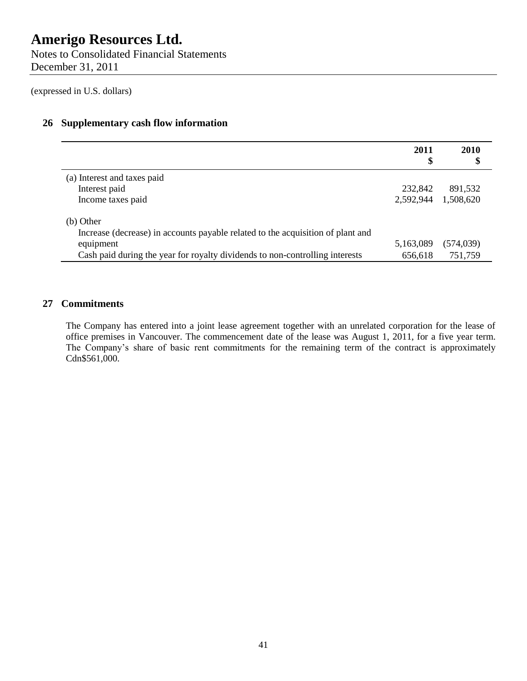Notes to Consolidated Financial Statements December 31, 2011

(expressed in U.S. dollars)

## **26 Supplementary cash flow information**

|                                                                                 | 2011<br>\$ | 2010<br>\$ |  |
|---------------------------------------------------------------------------------|------------|------------|--|
| (a) Interest and taxes paid                                                     |            |            |  |
| Interest paid                                                                   | 232,842    | 891,532    |  |
| Income taxes paid                                                               | 2,592,944  | 1,508,620  |  |
| (b) Other                                                                       |            |            |  |
| Increase (decrease) in accounts payable related to the acquisition of plant and |            |            |  |
| equipment                                                                       | 5,163,089  | (574, 039) |  |
| Cash paid during the year for royalty dividends to non-controlling interests    | 656,618    | 751,759    |  |

## **27 Commitments**

The Company has entered into a joint lease agreement together with an unrelated corporation for the lease of office premises in Vancouver. The commencement date of the lease was August 1, 2011, for a five year term. The Company's share of basic rent commitments for the remaining term of the contract is approximately Cdn\$561,000.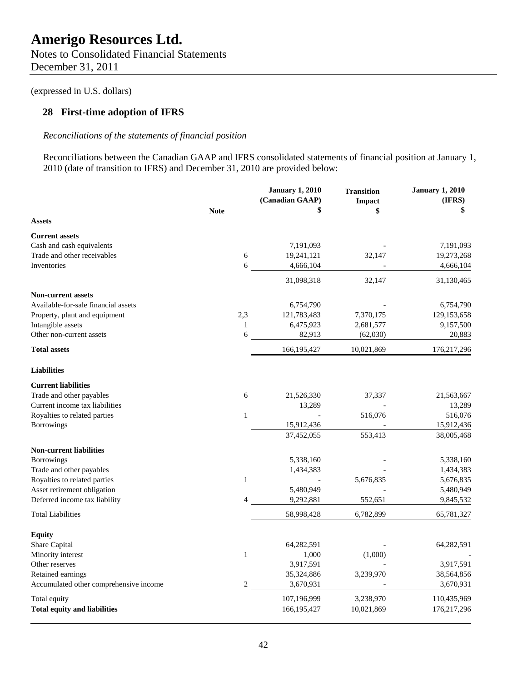Notes to Consolidated Financial Statements December 31, 2011

(expressed in U.S. dollars)

## **28 First-time adoption of IFRS**

## *Reconciliations of the statements of financial position*

Reconciliations between the Canadian GAAP and IFRS consolidated statements of financial position at January 1, 2010 (date of transition to IFRS) and December 31, 2010 are provided below:

|                                                    |              | <b>January 1, 2010</b><br>(Canadian GAAP) | <b>Transition</b><br><b>Impact</b> | <b>January 1, 2010</b><br>(IFRS) |
|----------------------------------------------------|--------------|-------------------------------------------|------------------------------------|----------------------------------|
| <b>Assets</b>                                      | <b>Note</b>  |                                           | \$                                 | \$                               |
|                                                    |              |                                           |                                    |                                  |
| <b>Current assets</b><br>Cash and cash equivalents |              | 7,191,093                                 |                                    | 7,191,093                        |
| Trade and other receivables                        | 6            | 19,241,121                                | 32,147                             | 19,273,268                       |
| Inventories                                        | 6            | 4,666,104                                 |                                    | 4,666,104                        |
|                                                    |              |                                           |                                    |                                  |
|                                                    |              | 31,098,318                                | 32,147                             | 31,130,465                       |
| <b>Non-current assets</b>                          |              |                                           |                                    |                                  |
| Available-for-sale financial assets                |              | 6,754,790                                 |                                    | 6,754,790                        |
| Property, plant and equipment                      | 2,3          | 121,783,483                               | 7,370,175                          | 129,153,658                      |
| Intangible assets                                  | 1            | 6,475,923                                 | 2,681,577                          | 9,157,500                        |
| Other non-current assets                           | 6            | 82,913                                    | (62,030)                           | 20,883                           |
| <b>Total assets</b>                                |              | 166, 195, 427                             | 10,021,869                         | 176,217,296                      |
| <b>Liabilities</b>                                 |              |                                           |                                    |                                  |
| <b>Current liabilities</b>                         |              |                                           |                                    |                                  |
| Trade and other payables                           | 6            | 21,526,330                                | 37,337                             | 21,563,667                       |
| Current income tax liabilities                     |              | 13,289                                    |                                    | 13,289                           |
| Royalties to related parties                       | $\,1$        |                                           | 516,076                            | 516,076                          |
| Borrowings                                         |              | 15,912,436                                |                                    | 15,912,436                       |
|                                                    |              | 37,452,055                                | 553,413                            | 38,005,468                       |
| <b>Non-current liabilities</b>                     |              |                                           |                                    |                                  |
| <b>Borrowings</b>                                  |              | 5,338,160                                 |                                    | 5,338,160                        |
| Trade and other payables                           |              | 1,434,383                                 |                                    | 1,434,383                        |
| Royalties to related parties                       | $\mathbf{1}$ |                                           | 5,676,835                          | 5,676,835                        |
| Asset retirement obligation                        |              | 5,480,949                                 |                                    | 5,480,949                        |
| Deferred income tax liability                      | 4            | 9,292,881                                 | 552,651                            | 9,845,532                        |
| <b>Total Liabilities</b>                           |              | 58,998,428                                | 6,782,899                          | 65,781,327                       |
| <b>Equity</b>                                      |              |                                           |                                    |                                  |
| Share Capital                                      |              | 64,282,591                                |                                    | 64,282,591                       |
| Minority interest                                  | $\,1\,$      | 1,000                                     | (1,000)                            |                                  |
| Other reserves                                     |              | 3,917,591                                 |                                    | 3,917,591                        |
| Retained earnings                                  |              | 35,324,886                                | 3,239,970                          | 38,564,856                       |
| Accumulated other comprehensive income             | 2            | 3,670,931                                 |                                    | 3,670,931                        |
| Total equity                                       |              | 107,196,999                               | 3,238,970                          | 110,435,969                      |
| <b>Total equity and liabilities</b>                |              | 166, 195, 427                             | 10,021,869                         | 176,217,296                      |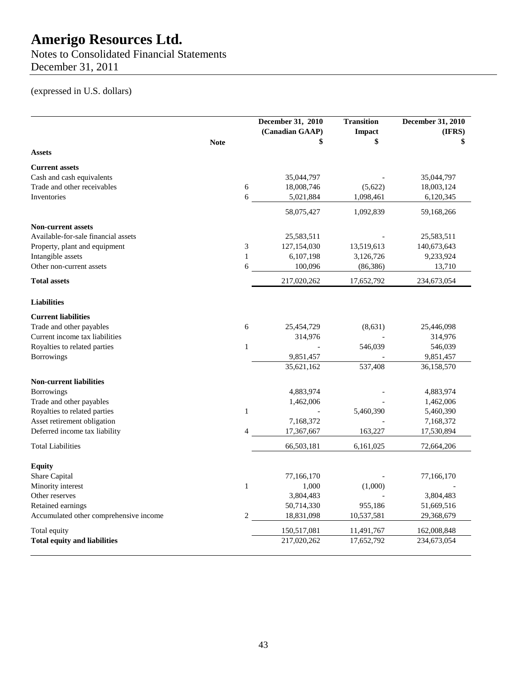Notes to Consolidated Financial Statements December 31, 2011

## (expressed in U.S. dollars)

|                                        |              | December 31, 2010<br>(Canadian GAAP) | <b>Transition</b><br><b>Impact</b> | <b>December 31, 2010</b><br>(IFRS) |
|----------------------------------------|--------------|--------------------------------------|------------------------------------|------------------------------------|
| <b>Assets</b>                          | <b>Note</b>  | \$                                   | \$                                 | \$                                 |
| <b>Current assets</b>                  |              |                                      |                                    |                                    |
| Cash and cash equivalents              |              | 35,044,797                           |                                    | 35,044,797                         |
| Trade and other receivables            | 6            | 18,008,746                           | (5,622)                            | 18,003,124                         |
| Inventories                            | 6            | 5,021,884                            | 1,098,461                          | 6,120,345                          |
|                                        |              | 58,075,427                           | 1,092,839                          | 59,168,266                         |
| <b>Non-current assets</b>              |              |                                      |                                    |                                    |
| Available-for-sale financial assets    |              | 25,583,511                           |                                    | 25,583,511                         |
| Property, plant and equipment          | 3            | 127,154,030                          | 13,519,613                         | 140,673,643                        |
| Intangible assets                      | $\mathbf{1}$ | 6,107,198                            | 3,126,726                          | 9,233,924                          |
| Other non-current assets               | 6            | 100,096                              | (86, 386)                          | 13,710                             |
| <b>Total assets</b>                    |              | 217,020,262                          | 17,652,792                         | 234,673,054                        |
| <b>Liabilities</b>                     |              |                                      |                                    |                                    |
| <b>Current liabilities</b>             |              |                                      |                                    |                                    |
| Trade and other payables               | 6            | 25,454,729                           | (8,631)                            | 25,446,098                         |
| Current income tax liabilities         |              | 314,976                              |                                    | 314,976                            |
| Royalties to related parties           | $\,1\,$      |                                      | 546,039                            | 546,039                            |
| <b>Borrowings</b>                      |              | 9,851,457                            |                                    | 9,851,457                          |
|                                        |              | 35,621,162                           | 537,408                            | 36,158,570                         |
| <b>Non-current liabilities</b>         |              |                                      |                                    |                                    |
| <b>Borrowings</b>                      |              | 4,883,974                            |                                    | 4,883,974                          |
| Trade and other payables               |              | 1,462,006                            |                                    | 1,462,006                          |
| Royalties to related parties           | $\mathbf{1}$ |                                      | 5,460,390                          | 5,460,390                          |
| Asset retirement obligation            |              | 7,168,372                            |                                    | 7,168,372                          |
| Deferred income tax liability          | 4            | 17,367,667                           | 163,227                            | 17,530,894                         |
| <b>Total Liabilities</b>               |              | 66,503,181                           | 6,161,025                          | 72,664,206                         |
| <b>Equity</b>                          |              |                                      |                                    |                                    |
| Share Capital                          |              | 77,166,170                           |                                    | 77,166,170                         |
| Minority interest                      | $\mathbf{1}$ | 1,000                                | (1,000)                            |                                    |
| Other reserves                         |              | 3,804,483                            |                                    | 3,804,483                          |
| Retained earnings                      |              | 50,714,330                           | 955,186                            | 51,669,516                         |
| Accumulated other comprehensive income | 2            | 18,831,098                           | 10,537,581                         | 29,368,679                         |
| Total equity                           |              | 150,517,081                          | 11,491,767                         | 162,008,848                        |
| <b>Total equity and liabilities</b>    |              | 217,020,262                          | 17,652,792                         | 234,673,054                        |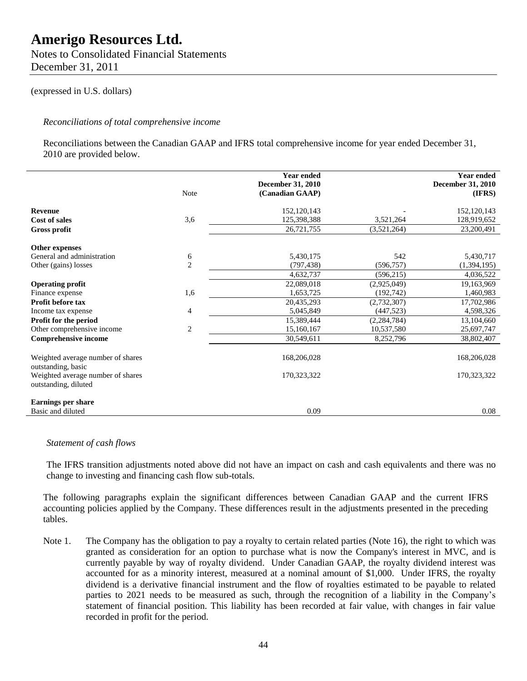Notes to Consolidated Financial Statements December 31, 2011

### (expressed in U.S. dollars)

#### *Reconciliations of total comprehensive income*

Reconciliations between the Canadian GAAP and IFRS total comprehensive income for year ended December 31, 2010 are provided below.

|                                                           | Note           | Year ended<br><b>December 31, 2010</b><br>(Canadian GAAP) |               | <b>Year ended</b><br><b>December 31, 2010</b><br>(IFRS) |
|-----------------------------------------------------------|----------------|-----------------------------------------------------------|---------------|---------------------------------------------------------|
| <b>Revenue</b>                                            |                | 152, 120, 143                                             |               | 152, 120, 143                                           |
| <b>Cost of sales</b>                                      | 3,6            | 125,398,388                                               | 3,521,264     | 128,919,652                                             |
| <b>Gross profit</b>                                       |                | 26,721,755                                                | (3,521,264)   | 23,200,491                                              |
| <b>Other expenses</b>                                     |                |                                                           |               |                                                         |
| General and administration                                | 6              | 5,430,175                                                 | 542           | 5,430,717                                               |
| Other (gains) losses                                      | $\overline{2}$ | (797, 438)                                                | (596, 757)    | (1,394,195)                                             |
|                                                           |                | 4,632,737                                                 | (596, 215)    | 4,036,522                                               |
| <b>Operating profit</b>                                   |                | 22,089,018                                                | (2,925,049)   | 19,163,969                                              |
| Finance expense                                           | 1,6            | 1,653,725                                                 | (192, 742)    | 1,460,983                                               |
| Profit before tax                                         |                | 20,435,293                                                | (2,732,307)   | 17,702,986                                              |
| Income tax expense                                        | $\overline{4}$ | 5,045,849                                                 | (447, 523)    | 4,598,326                                               |
| Profit for the period                                     |                | 15,389,444                                                | (2, 284, 784) | 13,104,660                                              |
| Other comprehensive income                                | $\mathfrak{2}$ | 15,160,167                                                | 10,537,580    | 25,697,747                                              |
| <b>Comprehensive income</b>                               |                | 30,549,611                                                | 8,252,796     | 38,802,407                                              |
| Weighted average number of shares<br>outstanding, basic   |                | 168,206,028                                               |               | 168,206,028                                             |
| Weighted average number of shares<br>outstanding, diluted |                | 170,323,322                                               |               | 170,323,322                                             |
| <b>Earnings per share</b>                                 |                |                                                           |               |                                                         |
| Basic and diluted                                         |                | 0.09                                                      |               | 0.08                                                    |

#### *Statement of cash flows*

The IFRS transition adjustments noted above did not have an impact on cash and cash equivalents and there was no change to investing and financing cash flow sub-totals.

The following paragraphs explain the significant differences between Canadian GAAP and the current IFRS accounting policies applied by the Company. These differences result in the adjustments presented in the preceding tables.

Note 1. The Company has the obligation to pay a royalty to certain related parties (Note 16), the right to which was granted as consideration for an option to purchase what is now the Company's interest in MVC, and is currently payable by way of royalty dividend. Under Canadian GAAP, the royalty dividend interest was accounted for as a minority interest, measured at a nominal amount of \$1,000. Under IFRS, the royalty dividend is a derivative financial instrument and the flow of royalties estimated to be payable to related parties to 2021 needs to be measured as such, through the recognition of a liability in the Company's statement of financial position. This liability has been recorded at fair value, with changes in fair value recorded in profit for the period.